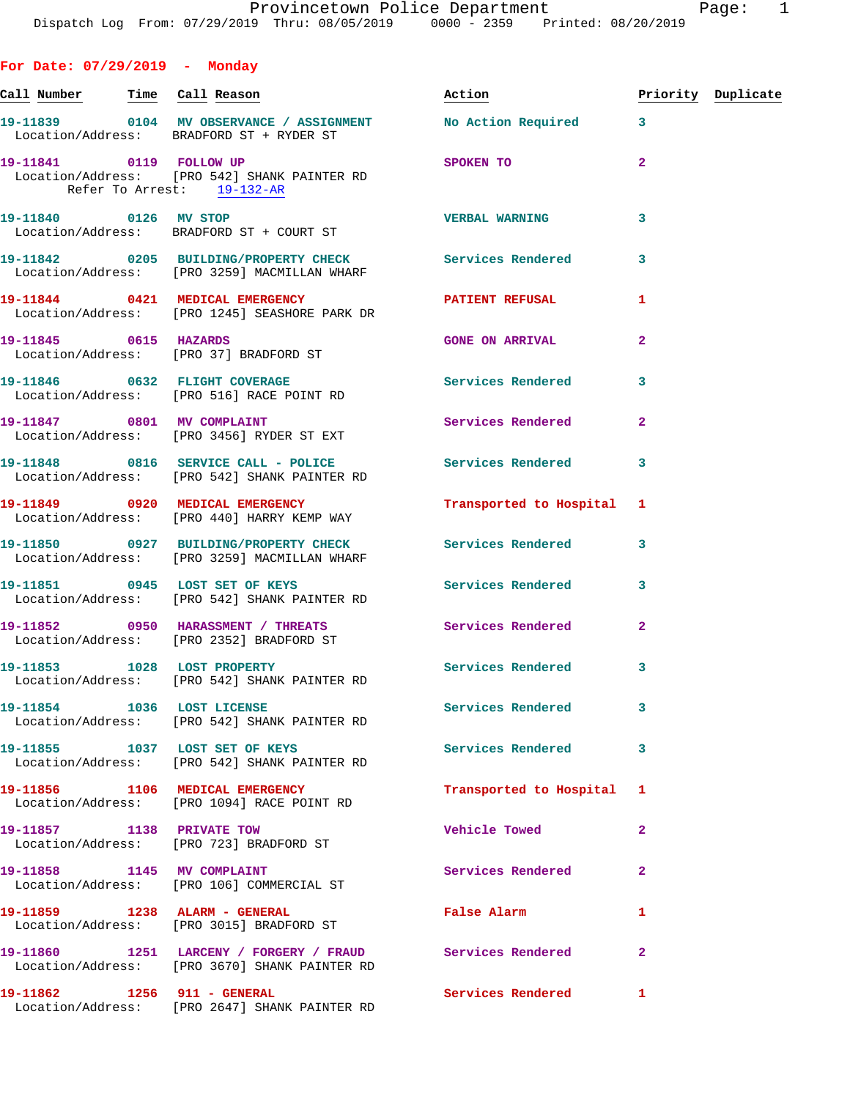**For Date: 07/29/2019 - Monday Call Number Time Call Reason Action Priority Duplicate 19-11839 0104 MV OBSERVANCE / ASSIGNMENT No Action Required 3**  Location/Address: BRADFORD ST + RYDER ST **19-11841** 0119 FOLLOW UP SPOKEN TO 2 Location/Address: [PRO 542] SHANK PAINTER RD Refer To Arrest: 19-132-AR **19-11840 0126 MV STOP VERBAL WARNING 3**  Location/Address: BRADFORD ST + COURT ST **19-11842 0205 BUILDING/PROPERTY CHECK Services Rendered 3**  Location/Address: [PRO 3259] MACMILLAN WHARF **19-11844 0421 MEDICAL EMERGENCY PATIENT REFUSAL 1**  Location/Address: [PRO 1245] SEASHORE PARK DR **19-11845 0615 HAZARDS GONE ON ARRIVAL 2**  Location/Address: [PRO 37] BRADFORD ST 19-11846 **0632 FLIGHT COVERAGE Services Rendered** 3 Location/Address: [PRO 516] RACE POINT RD **19-11847 0801 MV COMPLAINT Services Rendered 2**  Location/Address: [PRO 3456] RYDER ST EXT 19-11848 0816 SERVICE CALL - POLICE 3<br>
3 Location/Address: [PRO 542] SHANK PAINTER RD **19-11849 0920 MEDICAL EMERGENCY Transported to Hospital 1**  Location/Address: [PRO 440] HARRY KEMP WAY **19-11850 0927 BUILDING/PROPERTY CHECK Services Rendered 3**  Location/Address: [PRO 3259] MACMILLAN WHARF **19-11851 0945 LOST SET OF KEYS Services Rendered 3**  Location/Address: [PRO 542] SHANK PAINTER RD **19-11852 0950 HARASSMENT / THREATS Services Rendered 2**  Location/Address: [PRO 2352] BRADFORD ST 19-11853 1028 LOST PROPERTY **19-11853** Services Rendered 3 Location/Address: [PRO 542] SHANK PAINTER RD **19-11854 1036 LOST LICENSE Services Rendered 3**  Location/Address: [PRO 542] SHANK PAINTER RD **19-11855 1037 LOST SET OF KEYS Services Rendered 3**  Location/Address: [PRO 542] SHANK PAINTER RD **19-11856 1106 MEDICAL EMERGENCY Transported to Hospital 1**  Location/Address: [PRO 1094] RACE POINT RD **19-11857 1138 PRIVATE TOW Vehicle Towed 2**  Location/Address: [PRO 723] BRADFORD ST **19-11858 1145 MV COMPLAINT Services Rendered 2**  Location/Address: [PRO 106] COMMERCIAL ST **19-11859 1238 ALARM - GENERAL False Alarm 1**  Location/Address: [PRO 3015] BRADFORD ST

**19-11860 1251 LARCENY / FORGERY / FRAUD Services Rendered 2**  Location/Address: [PRO 3670] SHANK PAINTER RD **19-11862 1256 911 - GENERAL Services Rendered 1**  Location/Address: [PRO 2647] SHANK PAINTER RD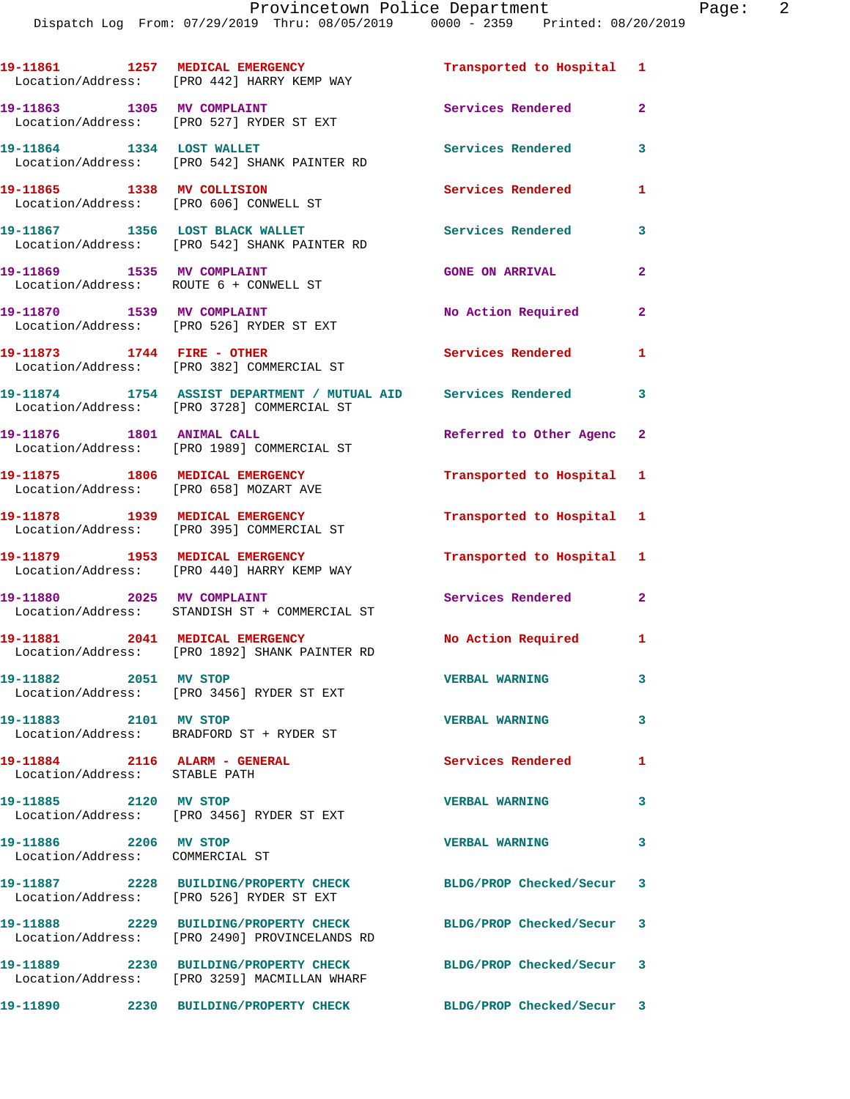Dispatch Log From: 07/29/2019 Thru: 08/05/2019 0000 - 2359 Printed: 08/20/2019

**19-11861 1257 MEDICAL EMERGENCY Transported to Hospital 1**  Location/Address: [PRO 442] HARRY KEMP WAY 19-11863 1305 MV COMPLAINT **19-11863** 1305 2 Location/Address: [PRO 527] RYDER ST EXT **19-11864 1334 LOST WALLET Services Rendered 3**  Location/Address: [PRO 542] SHANK PAINTER RD **19-11865 1338 MV COLLISION Services Rendered 1**  Location/Address: [PRO 606] CONWELL ST **19-11867 1356 LOST BLACK WALLET Services Rendered 3**  Location/Address: [PRO 542] SHANK PAINTER RD **19-11869 1535 MV COMPLAINT GONE ON ARRIVAL 2**  Location/Address: ROUTE 6 + CONWELL ST 19-11870 1539 MV COMPLAINT **No Action Required** 2 Location/Address: [PRO 526] RYDER ST EXT **19-11873 1744 FIRE - OTHER Services Rendered 1**  Location/Address: [PRO 382] COMMERCIAL ST **19-11874 1754 ASSIST DEPARTMENT / MUTUAL AID Services Rendered 3**  Location/Address: [PRO 3728] COMMERCIAL ST **19-11876 1801 ANIMAL CALL Referred to Other Agenc 2**  Location/Address: [PRO 1989] COMMERCIAL ST **19-11875 1806 MEDICAL EMERGENCY Transported to Hospital 1**  Location/Address: [PRO 658] MOZART AVE **19-11878 1939 MEDICAL EMERGENCY Transported to Hospital 1**  Location/Address: [PRO 395] COMMERCIAL ST **19-11879 1953 MEDICAL EMERGENCY Transported to Hospital 1**  Location/Address: [PRO 440] HARRY KEMP WAY **19-11880 2025 MV COMPLAINT Services Rendered 2**  Location/Address: STANDISH ST + COMMERCIAL ST **19-11881 2041 MEDICAL EMERGENCY No Action Required 1**  Location/Address: [PRO 1892] SHANK PAINTER RD **19-11882 2051 MV STOP VERBAL WARNING 3**  Location/Address: [PRO 3456] RYDER ST EXT **19-11883 2101 MV STOP VERBAL WARNING 3**  Location/Address: BRADFORD ST + RYDER ST **19-11884 2116 ALARM - GENERAL Services Rendered 1**  Location/Address: STABLE PATH **19-11885 2120 MV STOP VERBAL WARNING 3**  Location/Address: [PRO 3456] RYDER ST EXT **19-11886 2206 MV STOP VERBAL WARNING 3**  Location/Address: COMMERCIAL ST **19-11887 2228 BUILDING/PROPERTY CHECK BLDG/PROP Checked/Secur 3**  Location/Address: [PRO 526] RYDER ST EXT **19-11888 2229 BUILDING/PROPERTY CHECK BLDG/PROP Checked/Secur 3**  Location/Address: [PRO 2490] PROVINCELANDS RD **19-11889 2230 BUILDING/PROPERTY CHECK BLDG/PROP Checked/Secur 3**  Location/Address: [PRO 3259] MACMILLAN WHARF **19-11890 2230 BUILDING/PROPERTY CHECK BLDG/PROP Checked/Secur 3**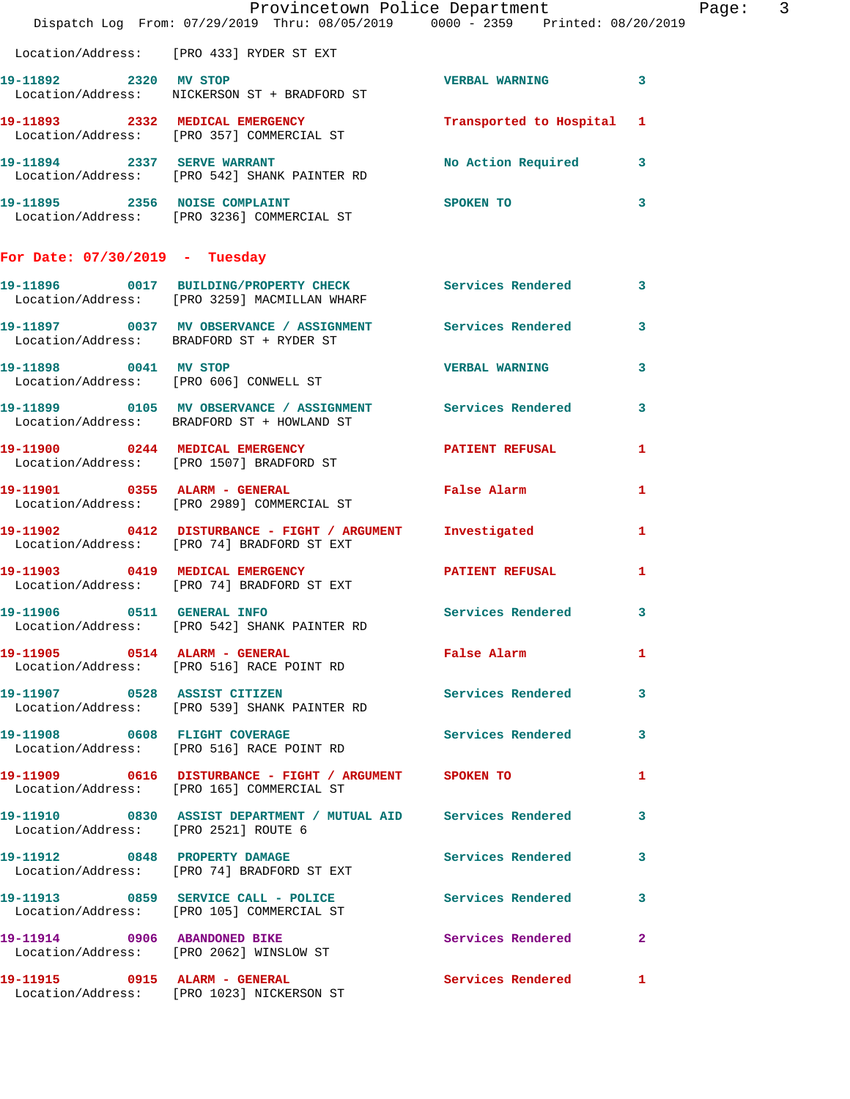|                                      | Dispatch Log From: 07/29/2019 Thru: 08/05/2019 0000 - 2359 Printed: 08/20/2019                           | Provincetown Police Department |              | Page: 3 |  |
|--------------------------------------|----------------------------------------------------------------------------------------------------------|--------------------------------|--------------|---------|--|
|                                      | Location/Address: [PRO 433] RYDER ST EXT                                                                 |                                |              |         |  |
| 19-11892 2320 MV STOP                | Location/Address: NICKERSON ST + BRADFORD ST                                                             | VERBAL WARNING 3               |              |         |  |
|                                      | 19-11893 2332 MEDICAL EMERGENCY<br>Location/Address: [PRO 357] COMMERCIAL ST                             | Transported to Hospital 1      |              |         |  |
|                                      | 19-11894 2337 SERVE WARRANT<br>Location/Address: [PRO 542] SHANK PAINTER RD                              | No Action Required 3           |              |         |  |
|                                      | 19-11895 2356 NOISE COMPLAINT<br>Location/Address: [PRO 3236] COMMERCIAL ST                              | SPOKEN TO                      | 3            |         |  |
| For Date: $07/30/2019$ - Tuesday     |                                                                                                          |                                |              |         |  |
|                                      | 19-11896 0017 BUILDING/PROPERTY CHECK Services Rendered<br>Location/Address: [PRO 3259] MACMILLAN WHARF  |                                | 3            |         |  |
|                                      | 19-11897 0037 MV OBSERVANCE / ASSIGNMENT Services Rendered 3<br>Location/Address: BRADFORD ST + RYDER ST |                                |              |         |  |
|                                      | 19-11898 0041 MV STOP<br>Location/Address: [PRO 606] CONWELL ST                                          | <b>VERBAL WARNING</b>          | 3            |         |  |
|                                      | 19-11899 0105 MV OBSERVANCE / ASSIGNMENT Services Rendered<br>Location/Address: BRADFORD ST + HOWLAND ST |                                | $\mathbf{3}$ |         |  |
|                                      | 19-11900 0244 MEDICAL EMERGENCY<br>Location/Address: [PRO 1507] BRADFORD ST                              | PATIENT REFUSAL 1              |              |         |  |
|                                      | 19-11901 0355 ALARM - GENERAL<br>Location/Address: [PRO 2989] COMMERCIAL ST                              | <b>False Alarm</b>             | 1            |         |  |
|                                      | 19-11902 0412 DISTURBANCE - FIGHT / ARGUMENT Investigated<br>Location/Address: [PRO 74] BRADFORD ST EXT  |                                | $\mathbf{1}$ |         |  |
|                                      | 19-11903 0419 MEDICAL EMERGENCY<br>Location/Address: [PRO 74] BRADFORD ST EXT                            | <b>PATIENT REFUSAL</b>         | $\mathbf{1}$ |         |  |
| 19-11906 0511 GENERAL INFO           | Location/Address: [PRO 542] SHANK PAINTER RD                                                             | Services Rendered 3            |              |         |  |
|                                      | 19-11905 0514 ALARM - GENERAL <b>False Alarm</b> 1<br>Location/Address: [PRO 516] RACE POINT RD          |                                |              |         |  |
|                                      | 19-11907 0528 ASSIST CITIZEN<br>Location/Address: [PRO 539] SHANK PAINTER RD                             | Services Rendered 3            |              |         |  |
|                                      | 19-11908 0608 FLIGHT COVERAGE Services Rendered 3<br>Location/Address: [PRO 516] RACE POINT RD           |                                |              |         |  |
|                                      | 19-11909 0616 DISTURBANCE - FIGHT / ARGUMENT SPOKEN TO<br>Location/Address: [PRO 165] COMMERCIAL ST      |                                | 1            |         |  |
| Location/Address: [PRO 2521] ROUTE 6 | 19-11910 0830 ASSIST DEPARTMENT / MUTUAL AID Services Rendered                                           |                                | $\mathbf{3}$ |         |  |
|                                      | 19-11912 0848 PROPERTY DAMAGE<br>Location/Address: [PRO 74] BRADFORD ST EXT                              | Services Rendered 3            |              |         |  |
|                                      | 19-11913 0859 SERVICE CALL - POLICE<br>Location/Address: [PRO 105] COMMERCIAL ST                         | <b>Services Rendered</b>       | 3            |         |  |
|                                      | 19-11914 0906 ABANDONED BIKE<br>Location/Address: [PRO 2062] WINSLOW ST                                  | <b>Services Rendered</b> 2     |              |         |  |
|                                      | 19-11915 0915 ALARM - GENERAL<br>Location/Address: [PRO 1023] NICKERSON ST                               | Services Rendered              | $\mathbf{1}$ |         |  |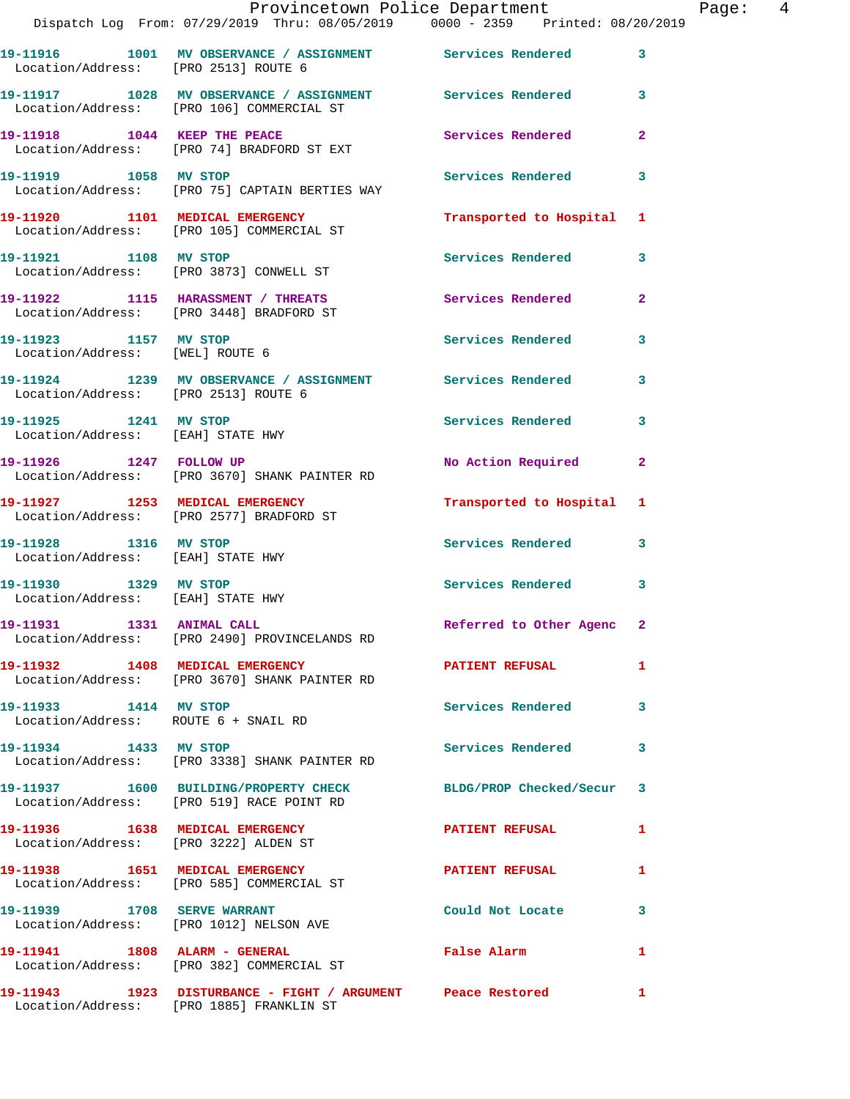|                                                                                   | Dispatch Log From: 07/29/2019 Thru: 08/05/2019 0000 - 2359 Printed: 08/20/2019                               | Provincetown Police Department |                | Page: 4 |  |
|-----------------------------------------------------------------------------------|--------------------------------------------------------------------------------------------------------------|--------------------------------|----------------|---------|--|
| Location/Address: [PRO 2513] ROUTE 6                                              | 19-11916 1001 MV OBSERVANCE / ASSIGNMENT Services Rendered                                                   |                                | $\mathbf{3}$   |         |  |
|                                                                                   | 19-11917 1028 MV OBSERVANCE / ASSIGNMENT Services Rendered 3<br>Location/Address: [PRO 106] COMMERCIAL ST    |                                |                |         |  |
|                                                                                   | 19-11918 1044 KEEP THE PEACE<br>Location/Address: [PRO 74] BRADFORD ST EXT                                   | Services Rendered              | $\mathbf{2}$   |         |  |
|                                                                                   | 19-11919               1058    MV STOP<br>Location/Address:      [PRO 75] CAPTAIN BERTIES WAY                | Services Rendered              | 3              |         |  |
|                                                                                   | 19-11920 1101 MEDICAL EMERGENCY<br>Location/Address: [PRO 105] COMMERCIAL ST                                 | Transported to Hospital 1      |                |         |  |
|                                                                                   | 19-11921 1108 MV STOP<br>Location/Address: [PRO 3873] CONWELL ST                                             | Services Rendered              | 3              |         |  |
|                                                                                   | 19-11922 1115 HARASSMENT / THREATS<br>Location/Address: [PRO 3448] BRADFORD ST                               | Services Rendered              | $\overline{2}$ |         |  |
| 19-11923 1157 MV STOP<br>Location/Address: [WEL] ROUTE 6                          |                                                                                                              | Services Rendered              | 3              |         |  |
| Location/Address: [PRO 2513] ROUTE 6                                              | 19-11924 1239 MV OBSERVANCE / ASSIGNMENT Services Rendered 3                                                 |                                |                |         |  |
| 19-11925 1241 MV STOP<br>Location/Address: [EAH] STATE HWY                        |                                                                                                              | Services Rendered              | 3              |         |  |
| 19-11926 1247 FOLLOW UP                                                           | Location/Address: [PRO 3670] SHANK PAINTER RD                                                                | No Action Required             | $\overline{2}$ |         |  |
|                                                                                   | 19-11927 1253 MEDICAL EMERGENCY<br>Location/Address: [PRO 2577] BRADFORD ST                                  | Transported to Hospital 1      |                |         |  |
| 19-11928 1316 MV STOP<br>Location/Address: [EAH] STATE HWY                        |                                                                                                              | Services Rendered 3            |                |         |  |
| 19-11930                1329    MV STOP<br>Location/Address:      [EAH] STATE HWY |                                                                                                              | Services Rendered 3            |                |         |  |
| 19-11931 1331 ANIMAL CALL                                                         | Location/Address: [PRO 2490] PROVINCELANDS RD                                                                | Referred to Other Agenc 2      |                |         |  |
|                                                                                   | 19-11932 1408 MEDICAL EMERGENCY <b>NEW PATIENT REFUSAL</b><br>Location/Address: [PRO 3670] SHANK PAINTER RD  |                                | 1              |         |  |
| 19-11933 1414 MV STOP                                                             | Location/Address: ROUTE 6 + SNAIL RD                                                                         | Services Rendered              | 3              |         |  |
|                                                                                   | 19-11934 1433 MV STOP<br>Location/Address: [PRO 3338] SHANK PAINTER RD                                       | Services Rendered              | 3              |         |  |
|                                                                                   | 19-11937 1600 BUILDING/PROPERTY CHECK BLDG/PROP Checked/Secur 3<br>Location/Address: [PRO 519] RACE POINT RD |                                |                |         |  |
|                                                                                   | 19-11936 1638 MEDICAL EMERGENCY<br>Location/Address: [PRO 3222] ALDEN ST                                     | PATIENT REFUSAL                | 1              |         |  |
|                                                                                   | 19-11938 1651 MEDICAL EMERGENCY<br>Location/Address: [PRO 585] COMMERCIAL ST                                 | PATIENT REFUSAL                | 1              |         |  |
|                                                                                   | 19-11939 1708 SERVE WARRANT<br>Location/Address: [PRO 1012] NELSON AVE                                       | Could Not Locate               | 3              |         |  |
|                                                                                   | 19-11941 1808 ALARM - GENERAL<br>Location/Address: [PRO 382] COMMERCIAL ST                                   | False Alarm                    | 1              |         |  |
|                                                                                   | 19-11943 1923 DISTURBANCE - FIGHT / ARGUMENT Peace Restored<br>Location/Address: [PRO 1885] FRANKLIN ST      |                                | 1              |         |  |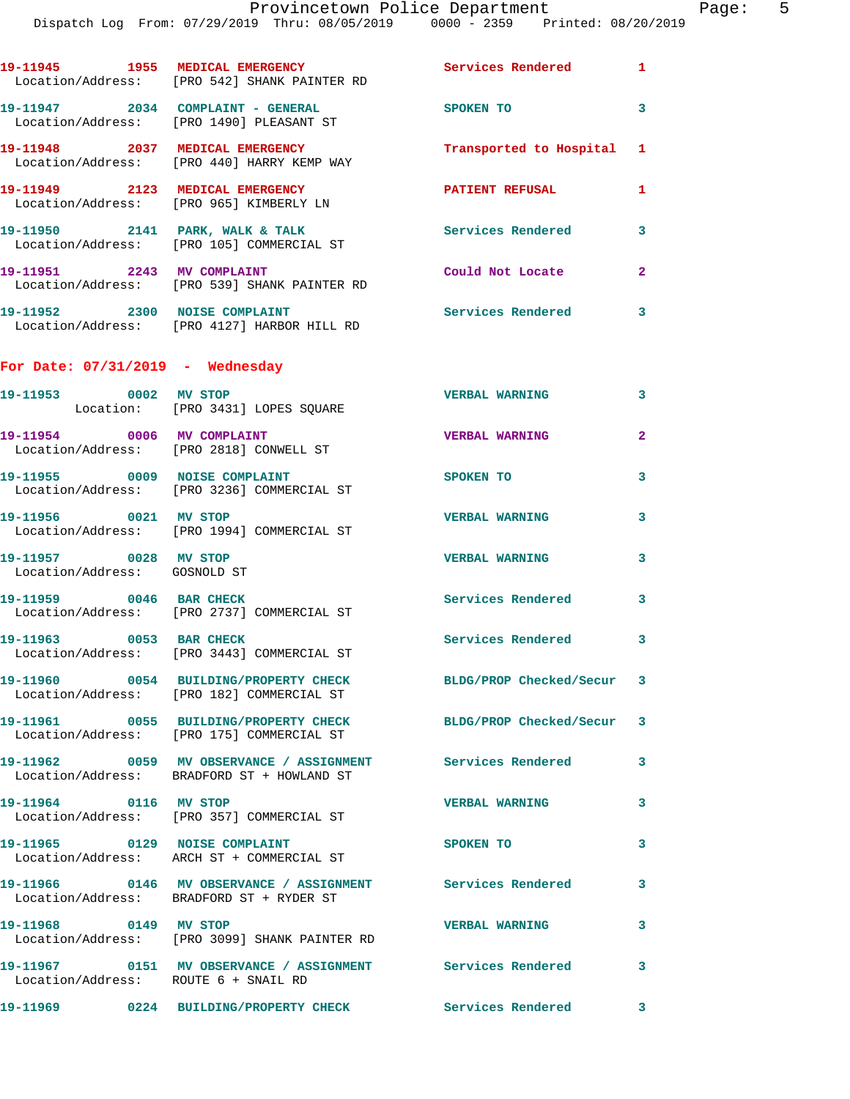|                                                       | Dispatch Log From: 07/29/2019 Thru: 08/05/2019 0000 - 2359 Printed: 08/20/2019                                     |                          |              |
|-------------------------------------------------------|--------------------------------------------------------------------------------------------------------------------|--------------------------|--------------|
|                                                       | 19-11945 1955 MEDICAL EMERGENCY<br>Location/Address: [PRO 542] SHANK PAINTER RD                                    | <b>Services Rendered</b> | 1            |
|                                                       | 19-11947 2034 COMPLAINT - GENERAL<br>Location/Address: [PRO 1490] PLEASANT ST                                      | SPOKEN TO                | 3            |
|                                                       | 19-11948 2037 MEDICAL EMERGENCY<br>Location/Address: [PRO 440] HARRY KEMP WAY                                      | Transported to Hospital  | 1            |
|                                                       | 19-11949 2123 MEDICAL EMERGENCY<br>Location/Address: [PRO 965] KIMBERLY LN                                         | <b>PATIENT REFUSAL</b>   | 1            |
|                                                       | 19-11950 2141 PARK, WALK & TALK<br>Location/Address: [PRO 105] COMMERCIAL ST                                       | <b>Services Rendered</b> | 3            |
|                                                       | 19-11951 2243 MV COMPLAINT<br>Location/Address: [PRO 539] SHANK PAINTER RD                                         | Could Not Locate         | $\mathbf{2}$ |
|                                                       | 19-11952 2300 NOISE COMPLAINT<br>Location/Address: [PRO 4127] HARBOR HILL RD                                       | Services Rendered        | 3            |
| For Date: $07/31/2019$ - Wednesday                    |                                                                                                                    |                          |              |
| 19-11953 0002 MV STOP                                 | Location: [PRO 3431] LOPES SQUARE                                                                                  | <b>VERBAL WARNING</b>    | 3            |
|                                                       | 19-11954 0006 MV COMPLAINT<br>Location/Address: [PRO 2818] CONWELL ST                                              | <b>VERBAL WARNING</b>    | $\mathbf{2}$ |
| 19-11955 0009 NOISE COMPLAINT                         | Location/Address: [PRO 3236] COMMERCIAL ST                                                                         | SPOKEN TO                | 3            |
| 19-11956 0021 MV STOP                                 | Location/Address: [PRO 1994] COMMERCIAL ST                                                                         | <b>VERBAL WARNING</b>    | 3            |
| 19-11957 0028 MV STOP<br>Location/Address: GOSNOLD ST |                                                                                                                    | <b>VERBAL WARNING</b>    | 3            |
| 19-11959 0046 BAR CHECK                               | Location/Address: [PRO 2737] COMMERCIAL ST                                                                         | <b>Services Rendered</b> | 3            |
| 19-11963 0053 BAR CHECK                               | Location/Address: [PRO 3443] COMMERCIAL ST                                                                         | <b>Services Rendered</b> |              |
|                                                       | 19-11960 0054 BUILDING/PROPERTY CHECK BLDG/PROP Checked/Secur<br>Location/Address: [PRO 182] COMMERCIAL ST         |                          | 3            |
|                                                       | 19-11961 0055 BUILDING/PROPERTY CHECK BLDG/PROP Checked/Secur<br>Location/Address: [PRO 175] COMMERCIAL ST         |                          | 3            |
|                                                       | 19-11962  0059 MV OBSERVANCE / ASSIGNMENT Services Rendered<br>Location/Address: BRADFORD ST + HOWLAND ST          |                          | 3            |
| 19-11964 0116 MV STOP                                 | Location/Address: [PRO 357] COMMERCIAL ST                                                                          | <b>VERBAL WARNING</b>    | 3            |
|                                                       | Location/Address: ARCH ST + COMMERCIAL ST                                                                          | SPOKEN TO                | 3            |
|                                                       | 19-11966      0146   MV OBSERVANCE / ASSIGNMENT      Services Rendered<br>Location/Address: BRADFORD ST + RYDER ST |                          | 3            |
| 19-11968 0149 MV STOP                                 | Location/Address: [PRO 3099] SHANK PAINTER RD                                                                      | <b>VERBAL WARNING</b>    | 3            |
| Location/Address: ROUTE 6 + SNAIL RD                  | 19-11967 0151 MV OBSERVANCE / ASSIGNMENT Services Rendered                                                         |                          | 3            |
|                                                       | 19-11969      0224 BUILDING/PROPERTY CHECK Services Rendered                                                       |                          | 3            |
|                                                       |                                                                                                                    |                          |              |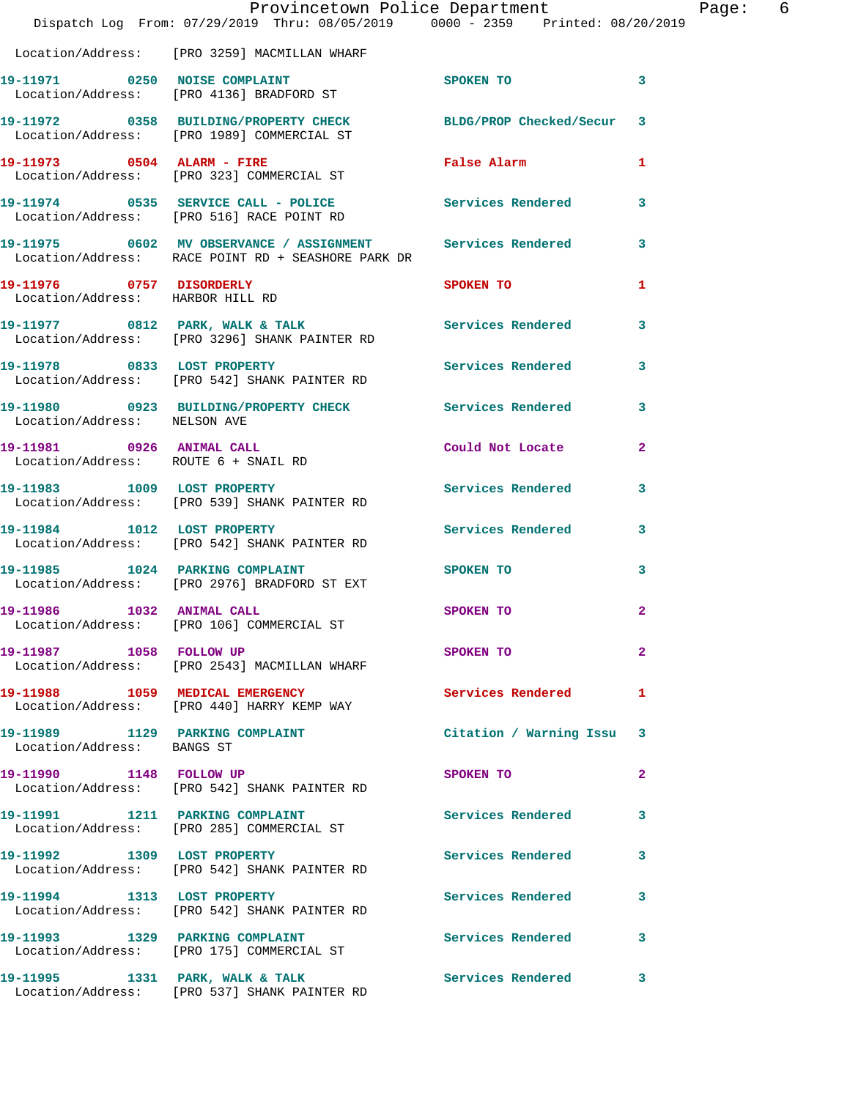|                                                              | Dispatch Log From: 07/29/2019 Thru: 08/05/2019 0000 - 2359 Printed: 08/20/2019                                      | Provincetown Police Department                                                                                                                                                                                                 |                | Page: 6 |  |
|--------------------------------------------------------------|---------------------------------------------------------------------------------------------------------------------|--------------------------------------------------------------------------------------------------------------------------------------------------------------------------------------------------------------------------------|----------------|---------|--|
|                                                              | Location/Address: [PRO 3259] MACMILLAN WHARF                                                                        |                                                                                                                                                                                                                                |                |         |  |
|                                                              | 19-11971 0250 NOISE COMPLAINT<br>Location/Address: [PRO 4136] BRADFORD ST                                           | SPOKEN TO 3                                                                                                                                                                                                                    |                |         |  |
|                                                              | 19-11972 0358 BUILDING/PROPERTY CHECK BLDG/PROP Checked/Secur 3<br>Location/Address: [PRO 1989] COMMERCIAL ST       |                                                                                                                                                                                                                                |                |         |  |
|                                                              | 19-11973 0504 ALARM - FIRE<br>Location/Address: [PRO 323] COMMERCIAL ST                                             | False Alarm                                                                                                                                                                                                                    | $\mathbf{1}$   |         |  |
|                                                              | 19-11974    0535    SERVICE    CALL - POLICE    Services Rendered    3<br>Location/Address: [PRO 516] RACE POINT RD |                                                                                                                                                                                                                                |                |         |  |
|                                                              | 19-11975 0602 MV OBSERVANCE / ASSIGNMENT Services Rendered 3<br>Location/Address: RACE POINT RD + SEASHORE PARK DR  |                                                                                                                                                                                                                                |                |         |  |
| 19-11976 0757 DISORDERLY<br>Location/Address: HARBOR HILL RD |                                                                                                                     | SPOKEN TO                                                                                                                                                                                                                      | 1              |         |  |
|                                                              | 19-11977 0812 PARK, WALK & TALK Services Rendered 3<br>Location/Address: [PRO 3296] SHANK PAINTER RD                |                                                                                                                                                                                                                                |                |         |  |
|                                                              | 19-11978 0833 LOST PROPERTY<br>Location/Address: [PRO 542] SHANK PAINTER RD                                         | Services Rendered 3                                                                                                                                                                                                            |                |         |  |
| Location/Address: NELSON AVE                                 | 19-11980 0923 BUILDING/PROPERTY CHECK Services Rendered 3                                                           |                                                                                                                                                                                                                                |                |         |  |
|                                                              | 19-11981 0926 ANIMAL CALL<br>Location/Address: ROUTE 6 + SNAIL RD                                                   | Could Not Locate 2                                                                                                                                                                                                             |                |         |  |
|                                                              | 19-11983 1009 LOST PROPERTY<br>Location/Address: [PRO 539] SHANK PAINTER RD                                         | Services Rendered                                                                                                                                                                                                              | 3              |         |  |
| 19-11984 1012 LOST PROPERTY                                  | Location/Address: [PRO 542] SHANK PAINTER RD                                                                        | Services Rendered 3                                                                                                                                                                                                            |                |         |  |
|                                                              | 19-11985 1024 PARKING COMPLAINT<br>Location/Address: [PRO 2976] BRADFORD ST EXT                                     | SPOKEN TO AND TO A REAL PROPERTY OF THE SPOKEN OF THE STATE OF THE SPOKEN OF THE SPOKEN OF THE SPOKEN OF THE SPOKEN OF THE SPOKEN OF THE SPOKEN OF THE SPOKEN OF THE SPOKEN OF THE SPOKEN OF THE SPOKEN OF THE SPOKEN OF THE S | $\mathbf{3}$   |         |  |
| 19-11986 1032 ANIMAL CALL                                    | Location/Address: [PRO 106] COMMERCIAL ST                                                                           | SPOKEN TO                                                                                                                                                                                                                      | $\overline{2}$ |         |  |
| 19-11987 1058 FOLLOW UP                                      | Location/Address: [PRO 2543] MACMILLAN WHARF                                                                        | SPOKEN TO                                                                                                                                                                                                                      | $\mathbf{2}$   |         |  |
|                                                              | 19-11988 1059 MEDICAL EMERGENCY<br>Location/Address: [PRO 440] HARRY KEMP WAY                                       | <b>Services Rendered</b> 1                                                                                                                                                                                                     |                |         |  |
| Location/Address: BANGS ST                                   | 19-11989 1129 PARKING COMPLAINT                                                                                     | Citation / Warning Issu 3                                                                                                                                                                                                      |                |         |  |
|                                                              | 19-11990 1148 FOLLOW UP<br>Location/Address: [PRO 542] SHANK PAINTER RD                                             | SPOKEN TO                                                                                                                                                                                                                      | $\mathbf{2}$   |         |  |
|                                                              | 19-11991 1211 PARKING COMPLAINT<br>Location/Address: [PRO 285] COMMERCIAL ST                                        | Services Rendered 3                                                                                                                                                                                                            |                |         |  |
|                                                              | 19-11992 1309 LOST PROPERTY<br>Location/Address: [PRO 542] SHANK PAINTER RD                                         | Services Rendered 3                                                                                                                                                                                                            |                |         |  |
|                                                              | 19-11994 1313 LOST PROPERTY<br>Location/Address: [PRO 542] SHANK PAINTER RD                                         | Services Rendered                                                                                                                                                                                                              | 3              |         |  |
|                                                              | 19-11993 1329 PARKING COMPLAINT<br>Location/Address: [PRO 175] COMMERCIAL ST                                        | Services Rendered 3                                                                                                                                                                                                            |                |         |  |
|                                                              | 19-11995 1331 PARK, WALK & TALK 1995 Services Rendered 3<br>Location/Address: [PRO 537] SHANK PAINTER RD            |                                                                                                                                                                                                                                |                |         |  |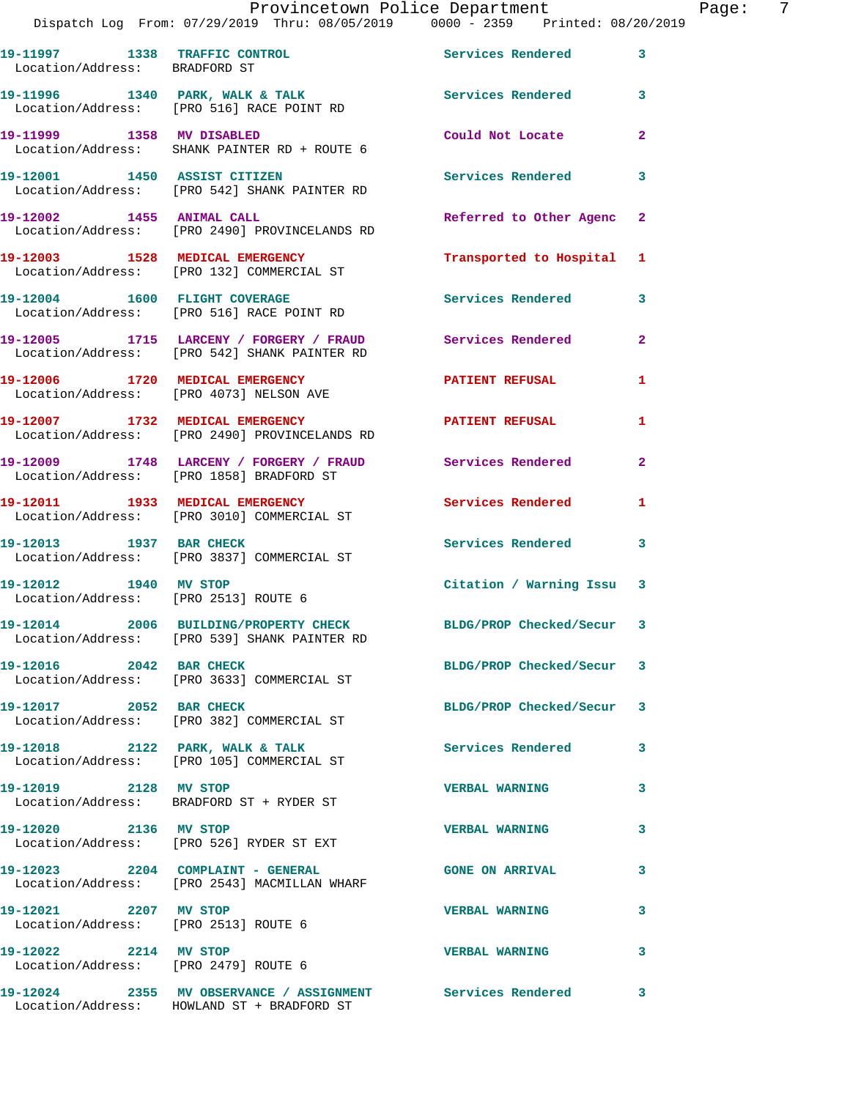|                                                               | Provincetown Police Department                                                                                  |                           |                |
|---------------------------------------------------------------|-----------------------------------------------------------------------------------------------------------------|---------------------------|----------------|
|                                                               | Dispatch Log From: 07/29/2019 Thru: 08/05/2019 0000 - 2359 Printed: 08/20/2019                                  |                           |                |
| Location/Address: BRADFORD ST                                 | 19-11997 1338 TRAFFIC CONTROL                                                                                   | Services Rendered         | 3              |
|                                                               | 19-11996 1340 PARK, WALK & TALK 1998 Services Rendered<br>Location/Address: [PRO 516] RACE POINT RD             |                           | 3              |
|                                                               | 19-11999 1358 MV DISABLED<br>Location/Address: SHANK PAINTER RD + ROUTE 6                                       | Could Not Locate          | $\overline{a}$ |
|                                                               | 19-12001 1450 ASSIST CITIZEN<br>Location/Address: [PRO 542] SHANK PAINTER RD                                    | <b>Services Rendered</b>  | 3              |
|                                                               | 19-12002 1455 ANIMAL CALL<br>Location/Address: [PRO 2490] PROVINCELANDS RD                                      | Referred to Other Agenc   | $\mathbf{2}$   |
|                                                               | 19-12003 1528 MEDICAL EMERGENCY<br>Location/Address: [PRO 132] COMMERCIAL ST                                    | Transported to Hospital   | 1              |
|                                                               | 19-12004 1600 FLIGHT COVERAGE<br>Location/Address: [PRO 516] RACE POINT RD                                      | <b>Services Rendered</b>  | 3              |
|                                                               | 19-12005 1715 LARCENY / FORGERY / FRAUD Services Rendered<br>Location/Address: [PRO 542] SHANK PAINTER RD       |                           | $\overline{a}$ |
|                                                               | 19-12006 1720 MEDICAL EMERGENCY<br>Location/Address: [PRO 4073] NELSON AVE                                      | <b>PATIENT REFUSAL</b>    | 1              |
|                                                               | 19-12007 1732 MEDICAL EMERGENCY<br>Location/Address: [PRO 2490] PROVINCELANDS RD                                | <b>PATIENT REFUSAL</b>    | 1              |
|                                                               | 19-12009 1748 LARCENY / FORGERY / FRAUD Services Rendered<br>Location/Address: [PRO 1858] BRADFORD ST           |                           | $\overline{2}$ |
|                                                               | 19-12011 1933 MEDICAL EMERGENCY<br>Location/Address: [PRO 3010] COMMERCIAL ST                                   | Services Rendered         | 1              |
| 19-12013 1937 BAR CHECK                                       | Location/Address: [PRO 3837] COMMERCIAL ST                                                                      | Services Rendered         | 3              |
| 19-12012 1940 MV STOP                                         | Location/Address: [PRO 2513] ROUTE 6                                                                            | Citation / Warning Issu 3 |                |
|                                                               | 19-12014 2006 BUILDING/PROPERTY CHECK BLDG/PROP Checked/Secur 3<br>Location/Address: [PRO 539] SHANK PAINTER RD |                           |                |
| 19-12016 2042 BAR CHECK                                       | Location/Address: [PRO 3633] COMMERCIAL ST                                                                      | BLDG/PROP Checked/Secur   | 3              |
| 19-12017 2052 BAR CHECK                                       | Location/Address: [PRO 382] COMMERCIAL ST                                                                       | BLDG/PROP Checked/Secur   | 3              |
|                                                               | 19-12018 2122 PARK, WALK & TALK<br>Location/Address: [PRO 105] COMMERCIAL ST                                    | <b>Services Rendered</b>  | 3              |
| 19-12019 2128 MV STOP                                         | Location/Address: BRADFORD ST + RYDER ST                                                                        | <b>VERBAL WARNING</b>     | 3              |
| 19-12020 2136 MV STOP                                         | Location/Address: [PRO 526] RYDER ST EXT                                                                        | <b>VERBAL WARNING</b>     | 3              |
|                                                               | 19-12023 2204 COMPLAINT - GENERAL<br>Location/Address: [PRO 2543] MACMILLAN WHARF                               | <b>GONE ON ARRIVAL</b>    | 3              |
| 19-12021 2207 MV STOP<br>Location/Address: [PRO 2513] ROUTE 6 |                                                                                                                 | <b>VERBAL WARNING</b>     | 3              |
| 19-12022 2214 MV STOP<br>Location/Address: [PRO 2479] ROUTE 6 |                                                                                                                 | <b>VERBAL WARNING</b>     | 3              |
|                                                               |                                                                                                                 |                           | 3              |

Location/Address: HOWLAND ST + BRADFORD ST

Page: 7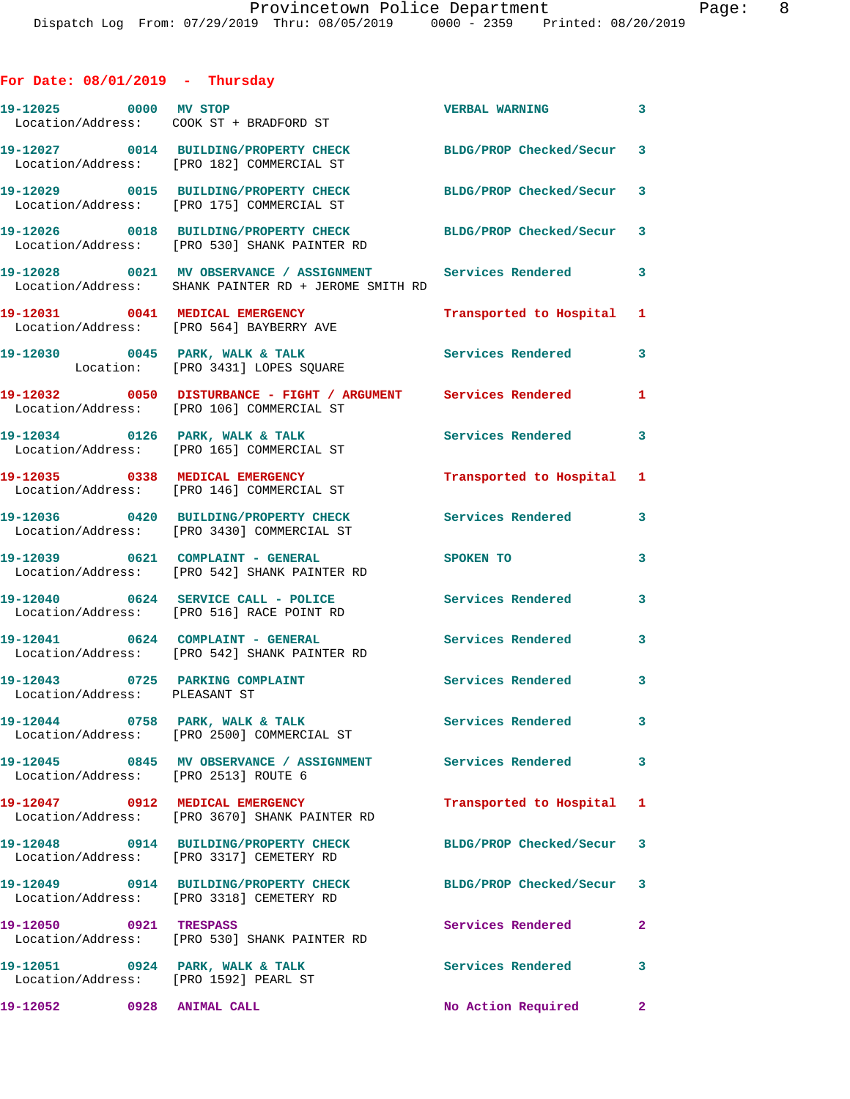## **For Date: 08/01/2019 - Thursday**

| 19-12025 0000 MV STOP                                                    | Location/Address: COOK ST + BRADFORD ST                                                                              | <b>VERBAL WARNING</b>     | $\overline{\mathbf{3}}$ |
|--------------------------------------------------------------------------|----------------------------------------------------------------------------------------------------------------------|---------------------------|-------------------------|
|                                                                          | 19-12027 0014 BUILDING/PROPERTY CHECK<br>Location/Address: [PRO 182] COMMERCIAL ST                                   | BLDG/PROP Checked/Secur 3 |                         |
|                                                                          | 19-12029 0015 BUILDING/PROPERTY CHECK<br>Location/Address: [PRO 175] COMMERCIAL ST                                   | BLDG/PROP Checked/Secur 3 |                         |
|                                                                          | 19-12026 0018 BUILDING/PROPERTY CHECK<br>Location/Address: [PRO 530] SHANK PAINTER RD                                | BLDG/PROP Checked/Secur 3 |                         |
|                                                                          | 19-12028 0021 MV OBSERVANCE / ASSIGNMENT Services Rendered 3<br>Location/Address: SHANK PAINTER RD + JEROME SMITH RD |                           |                         |
|                                                                          | 19-12031 0041 MEDICAL EMERGENCY<br>Location/Address: [PRO 564] BAYBERRY AVE                                          | Transported to Hospital 1 |                         |
|                                                                          | 19-12030 0045 PARK, WALK & TALK<br>Location: [PRO 3431] LOPES SQUARE                                                 | <b>Services Rendered</b>  | 3                       |
|                                                                          | 19-12032 0050 DISTURBANCE - FIGHT / ARGUMENT Services Rendered<br>Location/Address: [PRO 106] COMMERCIAL ST          |                           | 1                       |
|                                                                          | 19-12034 0126 PARK, WALK & TALK<br>Location/Address: [PRO 165] COMMERCIAL ST                                         | <b>Services Rendered</b>  | 3                       |
|                                                                          | 19-12035 0338 MEDICAL EMERGENCY<br>Location/Address: [PRO 146] COMMERCIAL ST                                         | Transported to Hospital 1 |                         |
|                                                                          | 19-12036 0420 BUILDING/PROPERTY CHECK<br>Location/Address: [PRO 3430] COMMERCIAL ST                                  | <b>Services Rendered</b>  | 3                       |
| 19-12039 0621 COMPLAINT - GENERAL                                        | Location/Address: [PRO 542] SHANK PAINTER RD                                                                         | SPOKEN TO                 | 3                       |
|                                                                          | 19-12040 0624 SERVICE CALL - POLICE<br>Location/Address: [PRO 516] RACE POINT RD                                     | <b>Services Rendered</b>  | 3                       |
| 19-12041 0624 COMPLAINT - GENERAL                                        | Location/Address: [PRO 542] SHANK PAINTER RD                                                                         | <b>Services Rendered</b>  | $\mathbf{3}$            |
| 19-12043 0725 PARKING COMPLAINT<br>Location/Address: PLEASANT ST         |                                                                                                                      | Services Rendered 3       |                         |
| 19-12044 0758 PARK, WALK & TALK                                          | Location/Address: [PRO 2500] COMMERCIAL ST                                                                           | <b>Services Rendered</b>  |                         |
| Location/Address: [PRO 2513] ROUTE 6                                     | 19-12045 0845 MV OBSERVANCE / ASSIGNMENT Services Rendered                                                           |                           | 3                       |
|                                                                          | 19-12047 0912 MEDICAL EMERGENCY<br>Location/Address: [PRO 3670] SHANK PAINTER RD                                     | Transported to Hospital 1 |                         |
|                                                                          | 19-12048 0914 BUILDING/PROPERTY CHECK<br>Location/Address: [PRO 3317] CEMETERY RD                                    | BLDG/PROP Checked/Secur 3 |                         |
|                                                                          | 19-12049 0914 BUILDING/PROPERTY CHECK<br>Location/Address: [PRO 3318] CEMETERY RD                                    | BLDG/PROP Checked/Secur 3 |                         |
| 19-12050 0921 TRESPASS                                                   | Location/Address: [PRO 530] SHANK PAINTER RD                                                                         | Services Rendered         | $\mathbf{2}$            |
| 19-12051 0924 PARK, WALK & TALK<br>Location/Address: [PRO 1592] PEARL ST |                                                                                                                      | Services Rendered         | 3                       |
|                                                                          |                                                                                                                      | No Action Required        | $\mathbf{2}$            |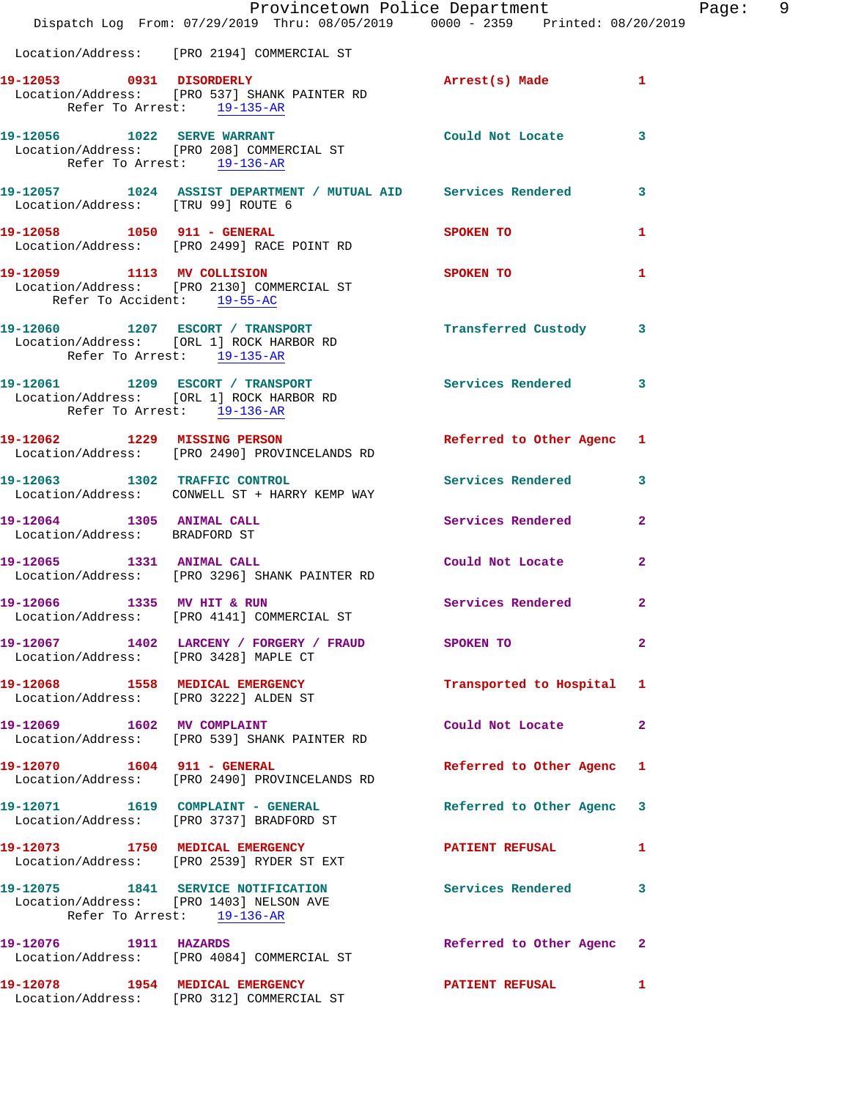|                                                            | Dispatch Log From: 07/29/2019 Thru: 08/05/2019 0000 - 2359 Printed: 08/20/2019                              | Provincetown Police Department Page: 9 |                |  |
|------------------------------------------------------------|-------------------------------------------------------------------------------------------------------------|----------------------------------------|----------------|--|
|                                                            | Location/Address: [PRO 2194] COMMERCIAL ST                                                                  |                                        |                |  |
| Refer To Arrest: 19-135-AR                                 | 19-12053 0931 DISORDERLY<br>Location/Address: [PRO 537] SHANK PAINTER RD                                    | Arrest(s) Made 1                       |                |  |
| Refer To Arrest: 19-136-AR                                 | 19-12056 1022 SERVE WARRANT<br>Location/Address: [PRO 208] COMMERCIAL ST                                    | Could Not Locate 3                     |                |  |
| Location/Address: [TRU 99] ROUTE 6                         | 19-12057 1024 ASSIST DEPARTMENT / MUTUAL AID Services Rendered 3                                            |                                        |                |  |
|                                                            | 19-12058 1050 911 - GENERAL<br>Location/Address: [PRO 2499] RACE POINT RD                                   | <b>SPOKEN TO</b>                       | $\mathbf{1}$   |  |
| Refer To Accident: 19-55-AC                                | 19-12059 1113 MV COLLISION<br>Location/Address: [PRO 2130] COMMERCIAL ST                                    | SPOKEN TO                              | 1.             |  |
| Refer To Arrest: 19-135-AR                                 | 19-12060 1207 ESCORT / TRANSPORT 1207 Transferred Custody 3<br>Location/Address: [ORL 1] ROCK HARBOR RD     |                                        |                |  |
| Refer To Arrest: 19-136-AR                                 | 19-12061 1209 ESCORT / TRANSPORT Services Rendered 3<br>Location/Address: [ORL 1] ROCK HARBOR RD            |                                        |                |  |
|                                                            | 19-12062 1229 MISSING PERSON<br>Location/Address: [PRO 2490] PROVINCELANDS RD                               | Referred to Other Agenc 1              |                |  |
|                                                            | 19-12063 1302 TRAFFIC CONTROL<br>Location/Address: CONWELL ST + HARRY KEMP WAY                              | Services Rendered 3                    |                |  |
| 19-12064 1305 ANIMAL CALL<br>Location/Address: BRADFORD ST |                                                                                                             | Services Rendered                      | $\overline{2}$ |  |
|                                                            | 19-12065 1331 ANIMAL CALL<br>Location/Address: [PRO 3296] SHANK PAINTER RD                                  | Could Not Locate 2                     |                |  |
|                                                            | 19-12066 1335 MV HIT & RUN Services Rendered<br>Location/Address: [PRO 4141] COMMERCIAL ST                  |                                        | $\mathbf{2}$   |  |
| Location/Address: [PRO 3428] MAPLE CT                      | 19-12067 1402 LARCENY / FORGERY / FRAUD SPOKEN TO                                                           |                                        | $\mathbf{2}$   |  |
|                                                            | 19-12068 1558 MEDICAL EMERGENCY<br>Location/Address: [PRO 3222] ALDEN ST                                    | Transported to Hospital 1              |                |  |
|                                                            | 19-12069 1602 MV COMPLAINT<br>Location/Address: [PRO 539] SHANK PAINTER RD                                  | Could Not Locate                       | $\mathbf{2}$   |  |
| 19-12070 1604 911 - GENERAL                                | Location/Address: [PRO 2490] PROVINCELANDS RD                                                               | Referred to Other Agenc 1              |                |  |
|                                                            | 19-12071 1619 COMPLAINT - GENERAL<br>Location/Address: [PRO 3737] BRADFORD ST                               | Referred to Other Agenc 3              |                |  |
|                                                            | 19-12073 1750 MEDICAL EMERGENCY<br>Location/Address: [PRO 2539] RYDER ST EXT                                | <b>PATIENT REFUSAL</b>                 | $\mathbf{1}$   |  |
|                                                            | 19-12075 1841 SERVICE NOTIFICATION<br>Location/Address: [PRO 1403] NELSON AVE<br>Refer To Arrest: 19-136-AR | Services Rendered 3                    |                |  |
|                                                            | 19-12076 1911 HAZARDS<br>Location/Address: [PRO 4084] COMMERCIAL ST                                         | Referred to Other Agenc 2              |                |  |
|                                                            | 19-12078 1954 MEDICAL EMERGENCY<br>Location/Address: [PRO 312] COMMERCIAL ST                                | PATIENT REFUSAL 1                      |                |  |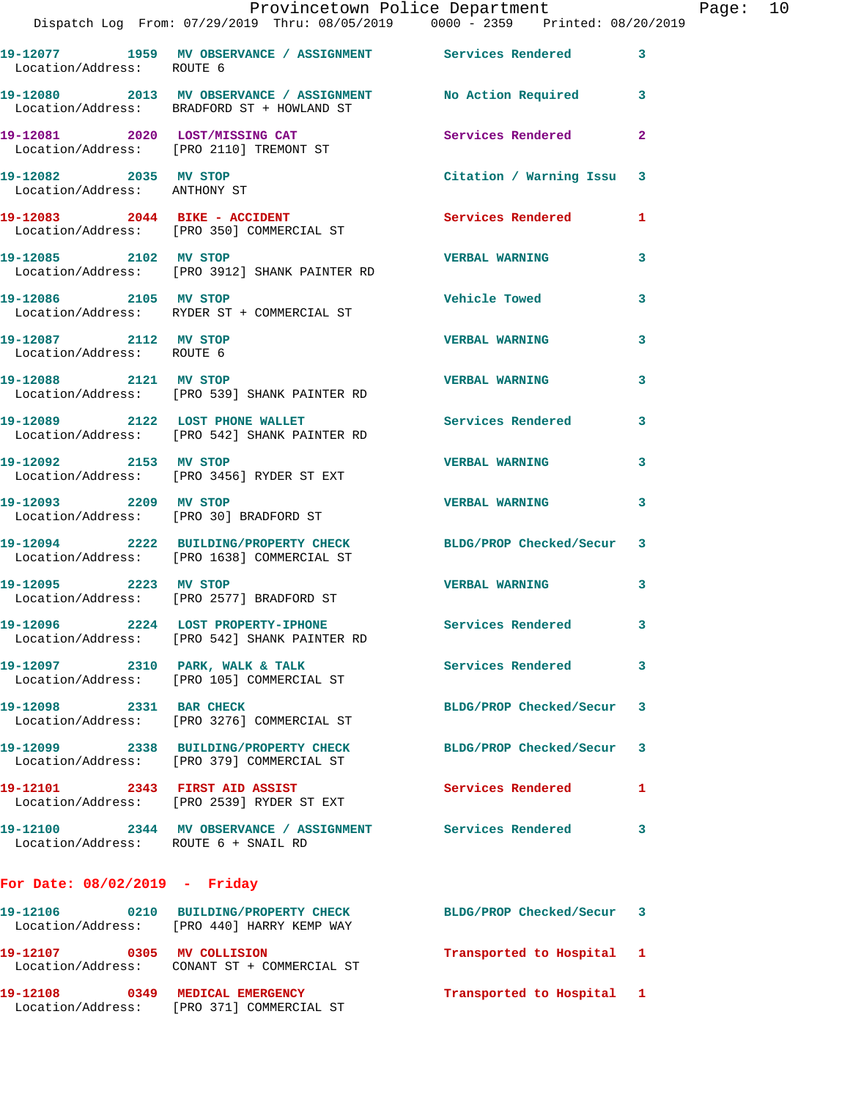|                                                    | Dispatch Log From: 07/29/2019 Thru: 08/05/2019   0000 - 2359   Printed: 08/20/2019                            | Provincetown Police Department Page: 10 |                         |  |
|----------------------------------------------------|---------------------------------------------------------------------------------------------------------------|-----------------------------------------|-------------------------|--|
|                                                    |                                                                                                               |                                         |                         |  |
| Location/Address: ROUTE 6                          | 19-12077 1959 MV OBSERVANCE / ASSIGNMENT Services Rendered 3                                                  |                                         |                         |  |
|                                                    | 19-12080 2013 MV OBSERVANCE / ASSIGNMENT No Action Required 3<br>Location/Address: BRADFORD ST + HOWLAND ST   |                                         |                         |  |
|                                                    | 19-12081 2020 LOST/MISSING CAT Services Rendered<br>Location/Address: [PRO 2110] TREMONT ST                   |                                         | $\mathbf{2}$            |  |
| Location/Address: ANTHONY ST                       | 19-12082 2035 MV STOP                                                                                         | Citation / Warning Issu 3               |                         |  |
|                                                    | 19-12083 2044 BIKE - ACCIDENT<br>Location/Address: [PRO 350] COMMERCIAL ST                                    | Services Rendered 1                     |                         |  |
|                                                    | 19-12085 2102 MV STOP<br>Location/Address: [PRO 3912] SHANK PAINTER RD                                        | <b>VERBAL WARNING</b>                   | 3                       |  |
|                                                    | 19-12086 2105 MV STOP<br>Location/Address: RYDER ST + COMMERCIAL ST                                           | Vehicle Towed                           | $\overline{\mathbf{3}}$ |  |
| 19-12087 2112 MV STOP<br>Location/Address: ROUTE 6 |                                                                                                               | <b>VERBAL WARNING</b>                   | 3                       |  |
|                                                    | 19-12088 2121 MV STOP<br>Location/Address: [PRO 539] SHANK PAINTER RD                                         | <b>VERBAL WARNING</b>                   | 3                       |  |
|                                                    | 19-12089 2122 LOST PHONE WALLET<br>Location/Address: [PRO 542] SHANK PAINTER RD                               | Services Rendered                       | 3                       |  |
|                                                    | 19-12092 2153 MV STOP<br>Location/Address: [PRO 3456] RYDER ST EXT                                            | VERBAL WARNING 3                        |                         |  |
|                                                    | 19-12093 2209 MV STOP<br>Location/Address: [PRO 30] BRADFORD ST                                               | <b>VERBAL WARNING</b>                   | 3                       |  |
|                                                    | 19-12094 2222 BUILDING/PROPERTY CHECK BLDG/PROP Checked/Secur 3<br>Location/Address: [PRO 1638] COMMERCIAL ST |                                         |                         |  |
|                                                    | 19-12095 2223 MV STOP<br>Location/Address: [PRO 2577] BRADFORD ST                                             | <b>VERBAL WARNING</b>                   | 3                       |  |
|                                                    | 19-12096 2224 LOST PROPERTY-IPHONE<br>Location/Address: [PRO 542] SHANK PAINTER RD                            | Services Rendered 3                     |                         |  |
|                                                    | 19-12097 2310 PARK, WALK & TALK CHARGES Services Rendered 3<br>Location/Address: [PRO 105] COMMERCIAL ST      |                                         |                         |  |
|                                                    | 19-12098 2331 BAR CHECK<br>Location/Address: [PRO 3276] COMMERCIAL ST                                         | BLDG/PROP Checked/Secur 3               |                         |  |
|                                                    | 19-12099 2338 BUILDING/PROPERTY CHECK BLDG/PROP Checked/Secur 3<br>Location/Address: [PRO 379] COMMERCIAL ST  |                                         |                         |  |
|                                                    | 19-12101 2343 FIRST AID ASSIST<br>Location/Address: [PRO 2539] RYDER ST EXT                                   | <b>Services Rendered</b> 1              |                         |  |
| Location/Address: ROUTE 6 + SNAIL RD               | 19-12100 2344 MV OBSERVANCE / ASSIGNMENT Services Rendered                                                    |                                         | 3                       |  |
| For Date: $08/02/2019$ - Friday                    |                                                                                                               |                                         |                         |  |
|                                                    | 19-12106 0210 BUILDING/PROPERTY CHECK BLDG/PROP Checked/Secur 3<br>Location/Address: [PRO 440] HARRY KEMP WAY |                                         |                         |  |
|                                                    | 19-12107 0305 MV COLLISION<br>Location/Address: CONANT ST + COMMERCIAL ST                                     | Transported to Hospital 1               |                         |  |
|                                                    | 19-12108 0349 MEDICAL EMERGENCY<br>Location/Address: [PRO 371] COMMERCIAL ST                                  | Transported to Hospital 1               |                         |  |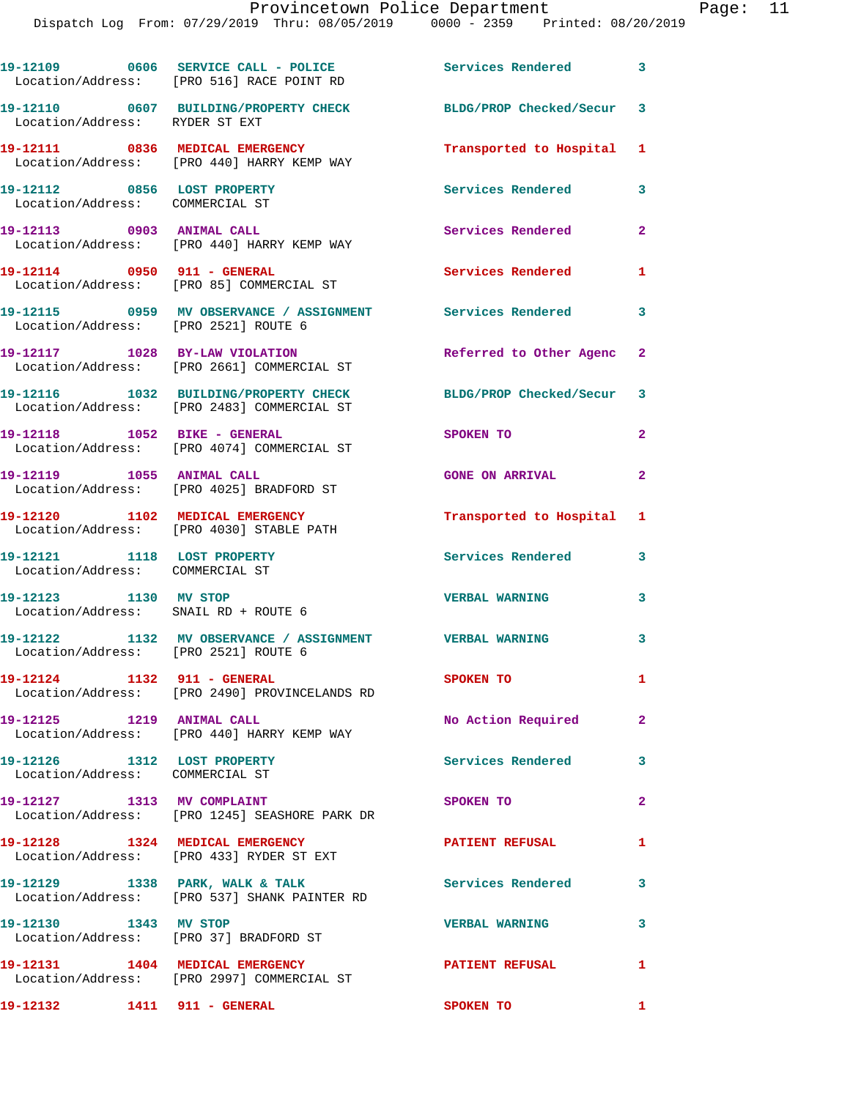19-12109 0606 SERVICE CALL - POLICE 3 Services Rendered 3 Location/Address: [PRO 516] RACE POINT RD **19-12110 0607 BUILDING/PROPERTY CHECK BLDG/PROP Checked/Secur 3**  Location/Address: RYDER ST EXT **19-12111 0836 MEDICAL EMERGENCY Transported to Hospital 1**  Location/Address: [PRO 440] HARRY KEMP WAY **19-12112 0856 LOST PROPERTY Services Rendered 3**  Location/Address: COMMERCIAL ST **19-12113 0903 ANIMAL CALL Services Rendered 2**  Location/Address: [PRO 440] HARRY KEMP WAY **19-12114 0950 911 - GENERAL Services Rendered 1**  Location/Address: [PRO 85] COMMERCIAL ST **19-12115 0959 MV OBSERVANCE / ASSIGNMENT Services Rendered 3**  Location/Address: [PRO 2521] ROUTE 6 **19-12117 1028 BY-LAW VIOLATION Referred to Other Agenc 2**  Location/Address: [PRO 2661] COMMERCIAL ST **19-12116 1032 BUILDING/PROPERTY CHECK BLDG/PROP Checked/Secur 3**  Location/Address: [PRO 2483] COMMERCIAL ST **19-12118 1052 BIKE - GENERAL SPOKEN TO 2**  Location/Address: [PRO 4074] COMMERCIAL ST **19-12119 1055 ANIMAL CALL GONE ON ARRIVAL 2**  Location/Address: [PRO 4025] BRADFORD ST **19-12120 1102 MEDICAL EMERGENCY Transported to Hospital 1**  Location/Address: [PRO 4030] STABLE PATH **19-12121 1118 LOST PROPERTY Services Rendered 3**  Location/Address: COMMERCIAL ST **19-12123 1130 MV STOP VERBAL WARNING 3**  Location/Address: SNAIL RD + ROUTE 6 **19-12122 1132 MV OBSERVANCE / ASSIGNMENT VERBAL WARNING 3**  Location/Address: [PRO 2521] ROUTE 6 **19-12124 1132 911 - GENERAL SPOKEN TO 1**  Location/Address: [PRO 2490] PROVINCELANDS RD **19-12125 1219 ANIMAL CALL No Action Required 2**  Location/Address: [PRO 440] HARRY KEMP WAY **19-12126 1312 LOST PROPERTY Services Rendered 3**  Location/Address: COMMERCIAL ST **19-12127 1313 MV COMPLAINT SPOKEN TO 2**  Location/Address: [PRO 1245] SEASHORE PARK DR 19-12128 1324 MEDICAL EMERGENCY PATIENT REFUSAL 1 Location/Address: [PRO 433] RYDER ST EXT 19-12129 1338 PARK, WALK & TALK **Services Rendered** 3 Location/Address: [PRO 537] SHANK PAINTER RD **19-12130 1343 MV STOP VERBAL WARNING 3**  Location/Address: [PRO 37] BRADFORD ST **19-12131 1404 MEDICAL EMERGENCY PATIENT REFUSAL 1**  Location/Address: [PRO 2997] COMMERCIAL ST **19-12132 1411 911 - GENERAL SPOKEN TO 1**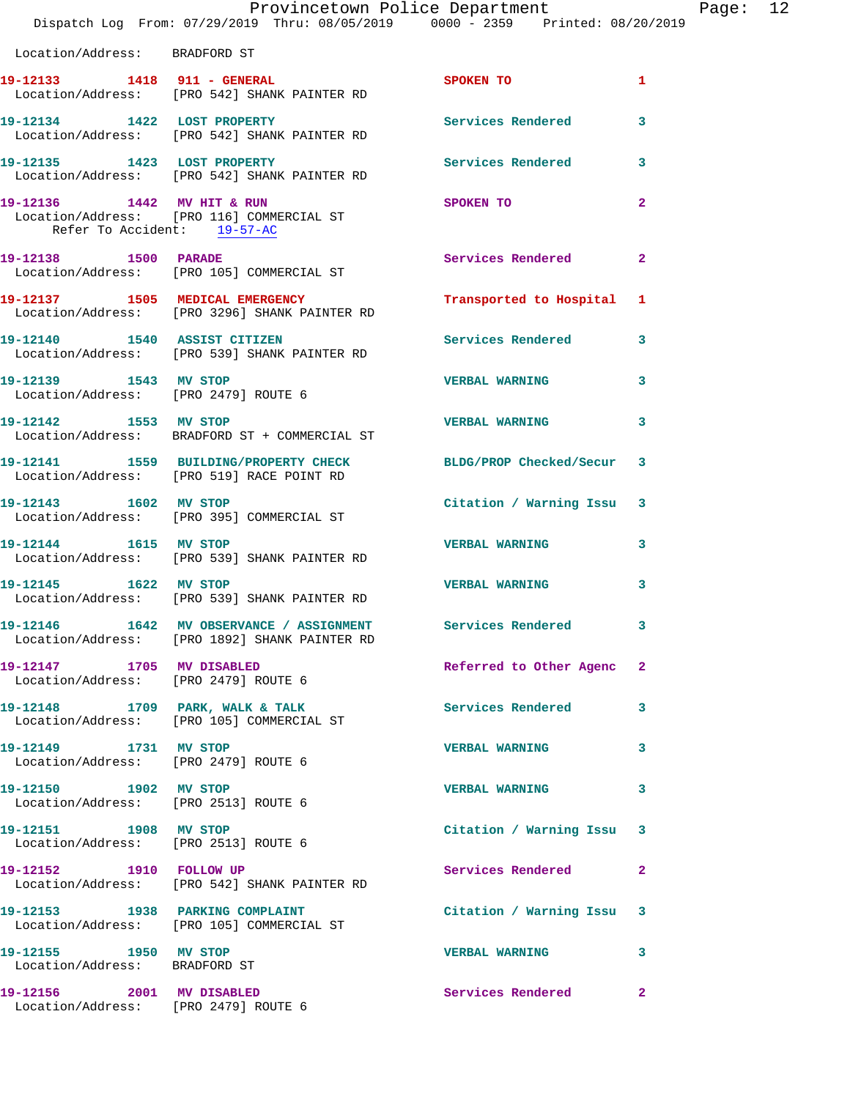|                                                                   | Provincetown Police Department<br>Dispatch Log From: 07/29/2019 Thru: 08/05/2019 0000 - 2359 Printed: 08/20/2019 |                           |                | Page: 12 |  |
|-------------------------------------------------------------------|------------------------------------------------------------------------------------------------------------------|---------------------------|----------------|----------|--|
| Location/Address: BRADFORD ST                                     |                                                                                                                  |                           |                |          |  |
|                                                                   | 19-12133 1418 911 - GENERAL<br>Location/Address: [PRO 542] SHANK PAINTER RD                                      | <b>SPOKEN TO</b>          | 1.             |          |  |
|                                                                   | 19-12134 1422 LOST PROPERTY<br>Location/Address: [PRO 542] SHANK PAINTER RD                                      | Services Rendered         | 3              |          |  |
|                                                                   | 19-12135 1423 LOST PROPERTY<br>Location/Address: [PRO 542] SHANK PAINTER RD                                      | Services Rendered 3       |                |          |  |
| Refer To Accident: 19-57-AC                                       | 19-12136 1442 MV HIT & RUN<br>Location/Address: [PRO 116] COMMERCIAL ST                                          | <b>SPOKEN TO</b>          | $\overline{2}$ |          |  |
| 19-12138 1500 PARADE                                              | Location/Address: [PRO 105] COMMERCIAL ST                                                                        | Services Rendered 2       |                |          |  |
|                                                                   | 19-12137 1505 MEDICAL EMERGENCY<br>Location/Address: [PRO 3296] SHANK PAINTER RD                                 | Transported to Hospital 1 |                |          |  |
|                                                                   | 19-12140 1540 ASSIST CITIZEN<br>Location/Address: [PRO 539] SHANK PAINTER RD                                     | Services Rendered 3       |                |          |  |
| 19-12139 1543 MV STOP                                             | Location/Address: [PRO 2479] ROUTE 6                                                                             | VERBAL WARNING 3          |                |          |  |
| 19-12142 1553 MV STOP                                             | Location/Address: BRADFORD ST + COMMERCIAL ST                                                                    | <b>VERBAL WARNING</b>     | 3              |          |  |
|                                                                   | 19-12141 1559 BUILDING/PROPERTY CHECK BLDG/PROP Checked/Secur 3<br>Location/Address: [PRO 519] RACE POINT RD     |                           |                |          |  |
|                                                                   | 19-12143 1602 MV STOP<br>Location/Address: [PRO 395] COMMERCIAL ST                                               | Citation / Warning Issu 3 |                |          |  |
|                                                                   | 19-12144 1615 MV STOP<br>Location/Address: [PRO 539] SHANK PAINTER RD                                            | VERBAL WARNING 3          |                |          |  |
|                                                                   | 19-12145 1622 MV STOP<br>Location/Address: [PRO 539] SHANK PAINTER RD                                            | <b>VERBAL WARNING</b>     | 3              |          |  |
|                                                                   | 19-12146 1642 MV OBSERVANCE / ASSIGNMENT<br>Location/Address: [PRO 1892] SHANK PAINTER RD                        | <b>Services Rendered</b>  | 3              |          |  |
| 19-12147 1705 MV DISABLED                                         | Location/Address: [PRO 2479] ROUTE 6                                                                             | Referred to Other Agenc 2 |                |          |  |
|                                                                   | 19-12148 1709 PARK, WALK & TALK<br>Location/Address: [PRO 105] COMMERCIAL ST                                     | Services Rendered         | 3              |          |  |
| 19-12149 1731 MV STOP                                             | Location/Address: [PRO 2479] ROUTE 6                                                                             | <b>VERBAL WARNING</b>     | 3              |          |  |
| 19-12150 1902 MV STOP<br>Location/Address: [PRO 2513] ROUTE 6     |                                                                                                                  | <b>VERBAL WARNING</b>     | 3              |          |  |
| 19-12151 1908 MV STOP<br>Location/Address: [PRO 2513] ROUTE 6     |                                                                                                                  | Citation / Warning Issu 3 |                |          |  |
| 19-12152 1910 FOLLOW UP                                           | Location/Address: [PRO 542] SHANK PAINTER RD                                                                     | Services Rendered         | $\mathbf{2}$   |          |  |
|                                                                   | 19-12153 1938 PARKING COMPLAINT<br>Location/Address: [PRO 105] COMMERCIAL ST                                     | Citation / Warning Issu 3 |                |          |  |
| 19-12155 1950 MV STOP<br>Location/Address: BRADFORD ST            |                                                                                                                  | <b>VERBAL WARNING</b>     | 3              |          |  |
| 19-12156 2001 MV DISABLED<br>Location/Address: [PRO 2479] ROUTE 6 |                                                                                                                  | Services Rendered         | $\mathbf{2}$   |          |  |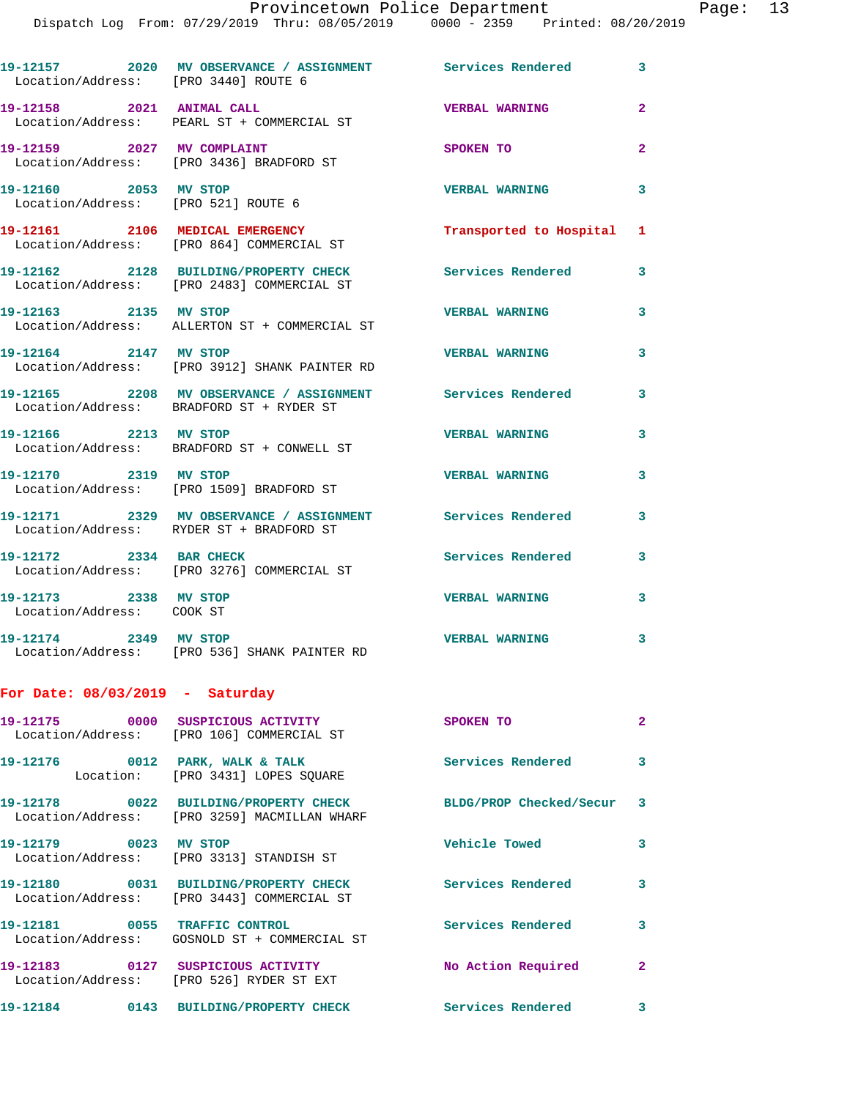**19-12157 2020 MV OBSERVANCE / ASSIGNMENT Services Rendered 3**  Location/Address: [PRO 3440] ROUTE 6 **19-12158 2021 ANIMAL CALL VERBAL WARNING 2**  Location/Address: PEARL ST + COMMERCIAL ST **19-12159 2027 MV COMPLAINT SPOKEN TO 2**  Location/Address: [PRO 3436] BRADFORD ST **19-12160 2053 MV STOP VERBAL WARNING 3**  Location/Address: [PRO 521] ROUTE 6 **19-12161 2106 MEDICAL EMERGENCY Transported to Hospital 1**  Location/Address: [PRO 864] COMMERCIAL ST **19-12162 2128 BUILDING/PROPERTY CHECK Services Rendered 3**  Location/Address: [PRO 2483] COMMERCIAL ST **19-12163 2135 MV STOP VERBAL WARNING 3**  Location/Address: ALLERTON ST + COMMERCIAL ST **19-12164 2147 MV STOP VERBAL WARNING 3**  Location/Address: [PRO 3912] SHANK PAINTER RD **19-12165 2208 MV OBSERVANCE / ASSIGNMENT Services Rendered 3**  Location/Address: BRADFORD ST + RYDER ST **19-12166 2213 MV STOP VERBAL WARNING 3**  Location/Address: BRADFORD ST + CONWELL ST **19-12170 2319 MV STOP VERBAL WARNING 3**  Location/Address: [PRO 1509] BRADFORD ST **19-12171 2329 MV OBSERVANCE / ASSIGNMENT Services Rendered 3**  Location/Address: RYDER ST + BRADFORD ST **19-12172 2334 BAR CHECK Services Rendered 3**  Location/Address: [PRO 3276] COMMERCIAL ST **19-12173 2338 MV STOP VERBAL WARNING 3**  Location/Address: COOK ST **19-12174 2349 MV STOP VERBAL WARNING 3**  Location/Address: [PRO 536] SHANK PAINTER RD **For Date: 08/03/2019 - Saturday 19-12175 0000 SUSPICIOUS ACTIVITY SPOKEN TO 2**  Location/Address: [PRO 106] COMMERCIAL ST 19-12176 0012 PARK, WALK & TALK 3 Services Rendered 3 Location: [PRO 3431] LOPES SQUARE **19-12178 0022 BUILDING/PROPERTY CHECK BLDG/PROP Checked/Secur 3**  Location/Address: [PRO 3259] MACMILLAN WHARF **19-12179 0023 MV STOP Vehicle Towed 3**  Location/Address: [PRO 3313] STANDISH ST **19-12180 0031 BUILDING/PROPERTY CHECK Services Rendered 3**  Location/Address: [PRO 3443] COMMERCIAL ST

**19-12181 0055 TRAFFIC CONTROL Services Rendered 3**  Location/Address: GOSNOLD ST + COMMERCIAL ST **19-12183 0127 SUSPICIOUS ACTIVITY No Action Required 2**  Location/Address: [PRO 526] RYDER ST EXT **19-12184 0143 BUILDING/PROPERTY CHECK Services Rendered 3**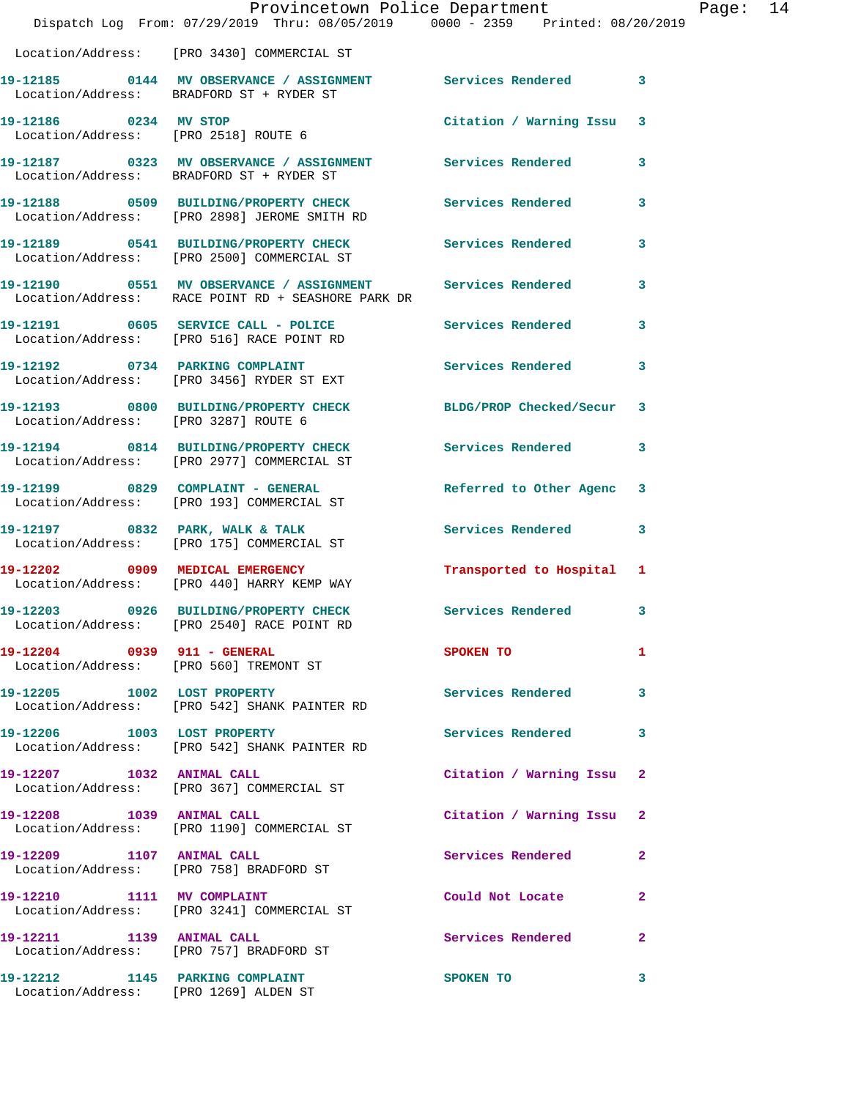|                                      | Provincetown Police Department<br>Dispatch Log From: 07/29/2019 Thru: 08/05/2019 0000 - 2359 Printed: 08/20/2019   |                           | Page: 14     |
|--------------------------------------|--------------------------------------------------------------------------------------------------------------------|---------------------------|--------------|
|                                      | Location/Address: [PRO 3430] COMMERCIAL ST                                                                         |                           |              |
|                                      | 19-12185 0144 MV OBSERVANCE / ASSIGNMENT Services Rendered 3<br>Location/Address: BRADFORD ST + RYDER ST           |                           |              |
|                                      | 19-12186 0234 MV STOP<br>Location/Address: [PRO 2518] ROUTE 6                                                      | Citation / Warning Issu 3 |              |
|                                      | 19-12187 0323 MV OBSERVANCE / ASSIGNMENT Services Rendered 3<br>Location/Address: BRADFORD ST + RYDER ST           |                           |              |
|                                      | 19-12188 0509 BUILDING/PROPERTY CHECK Services Rendered<br>Location/Address: [PRO 2898] JEROME SMITH RD            |                           | $\mathbf{3}$ |
|                                      | 19-12189 0541 BUILDING/PROPERTY CHECK Services Rendered 3<br>Location/Address: [PRO 2500] COMMERCIAL ST            |                           |              |
|                                      | 19-12190 0551 MV OBSERVANCE / ASSIGNMENT Services Rendered 3<br>Location/Address: RACE POINT RD + SEASHORE PARK DR |                           |              |
|                                      | 19-12191 0605 SERVICE CALL - POLICE 3 Services Rendered 3<br>Location/Address: [PRO 516] RACE POINT RD             |                           |              |
|                                      | 19-12192 0734 PARKING COMPLAINT Services Rendered 3<br>Location/Address: [PRO 3456] RYDER ST EXT                   |                           |              |
| Location/Address: [PRO 3287] ROUTE 6 | 19-12193 0800 BUILDING/PROPERTY CHECK BLDG/PROP Checked/Secur 3                                                    |                           |              |
|                                      | 19-12194 0814 BUILDING/PROPERTY CHECK<br>Location/Address: [PRO 2977] COMMERCIAL ST                                | Services Rendered 3       |              |
|                                      | 19-12199 0829 COMPLAINT - GENERAL<br>Location/Address: [PRO 193] COMMERCIAL ST                                     | Referred to Other Agenc 3 |              |
|                                      | 19-12197 0832 PARK, WALK & TALK<br>Location/Address: [PRO 175] COMMERCIAL ST                                       | Services Rendered 3       |              |
|                                      | 19-12202 0909 MEDICAL EMERGENCY<br>Location/Address: [PRO 440] HARRY KEMP WAY                                      | Transported to Hospital 1 |              |
|                                      | 19-12203 0926 BUILDING/PROPERTY CHECK<br>Location/Address: [PRO 2540] RACE POINT RD                                | Services Rendered 3       |              |
| 19-12204 0939 911 - GENERAL          | Location/Address: [PRO 560] TREMONT ST                                                                             | SPOKEN TO                 | 1            |
|                                      | 19-12205 1002 LOST PROPERTY<br>Location/Address: [PRO 542] SHANK PAINTER RD                                        | Services Rendered 3       |              |
| 19-12206 1003 LOST PROPERTY          | Location/Address: [PRO 542] SHANK PAINTER RD                                                                       | Services Rendered 3       |              |
|                                      | 19-12207 1032 ANIMAL CALL<br>Location/Address: [PRO 367] COMMERCIAL ST                                             | Citation / Warning Issu 2 |              |
| 19-12208 1039 ANIMAL CALL            | Location/Address: [PRO 1190] COMMERCIAL ST                                                                         | Citation / Warning Issu 2 |              |
|                                      | 19-12209 1107 ANIMAL CALL<br>Location/Address: [PRO 758] BRADFORD ST                                               | Services Rendered         | $\mathbf{2}$ |
| 19-12210 1111 MV COMPLAINT           | Location/Address: [PRO 3241] COMMERCIAL ST                                                                         | Could Not Locate          | $\mathbf{2}$ |
|                                      | 19-12211 1139 ANIMAL CALL<br>Location/Address: [PRO 757] BRADFORD ST                                               | Services Rendered         | $\mathbf{2}$ |
| 19-12212 1145 PARKING COMPLAINT      | Location/Address: [PRO 1269] ALDEN ST                                                                              | <b>SPOKEN TO</b>          | 3            |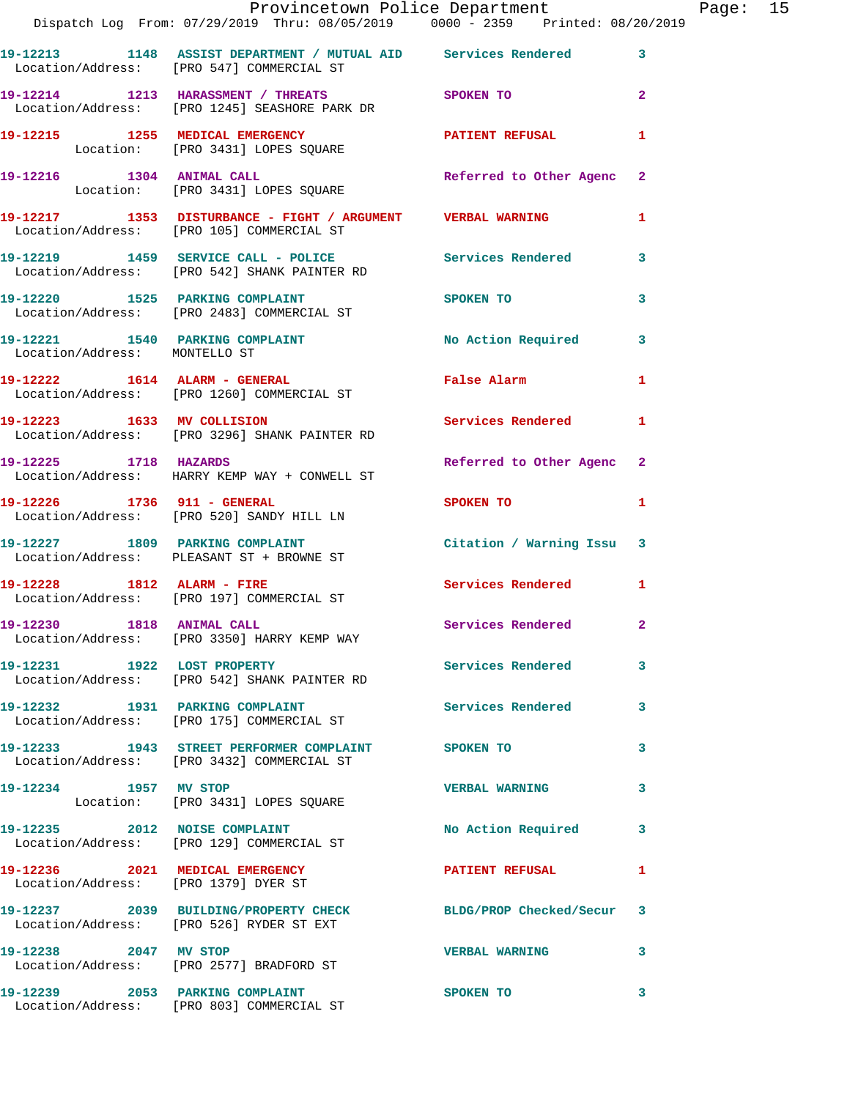|                               | Provincetown Police Department<br>Dispatch Log From: 07/29/2019 Thru: 08/05/2019 0000 - 2359 Printed: 08/20/2019 |                           |                |
|-------------------------------|------------------------------------------------------------------------------------------------------------------|---------------------------|----------------|
|                               |                                                                                                                  |                           |                |
|                               | 19-12213 1148 ASSIST DEPARTMENT / MUTUAL AID Services Rendered<br>Location/Address: [PRO 547] COMMERCIAL ST      |                           | 3              |
|                               | 19-12214 1213 HARASSMENT / THREATS SPOKEN TO<br>Location/Address: [PRO 1245] SEASHORE PARK DR                    |                           | $\overline{2}$ |
|                               | 19-12215 1255 MEDICAL EMERGENCY<br>Location: [PRO 3431] LOPES SQUARE                                             | PATIENT REFUSAL           | $\mathbf{1}$   |
|                               | 19-12216 1304 ANIMAL CALL<br>Location: [PRO 3431] LOPES SQUARE                                                   | Referred to Other Agenc   | $\mathbf{2}$   |
|                               | 19-12217   1353   DISTURBANCE - FIGHT / ARGUMENT   VERBAL WARNING<br>Location/Address: [PRO 105] COMMERCIAL ST   |                           | 1              |
|                               | 19-12219 1459 SERVICE CALL - POLICE Services Rendered<br>Location/Address: [PRO 542] SHANK PAINTER RD            |                           | 3              |
|                               | 19-12220 1525 PARKING COMPLAINT<br>Location/Address: [PRO 2483] COMMERCIAL ST                                    | <b>SPOKEN TO</b>          | 3              |
| Location/Address: MONTELLO ST | 19-12221 1540 PARKING COMPLAINT                                                                                  | No Action Required        | 3              |
|                               | 19-12222 1614 ALARM - GENERAL<br>Location/Address: [PRO 1260] COMMERCIAL ST                                      | False Alarm               | $\mathbf{1}$   |
|                               | 19-12223 1633 MV COLLISION<br>Location/Address: [PRO 3296] SHANK PAINTER RD                                      | <b>Services Rendered</b>  | 1              |
| 19-12225 1718 HAZARDS         | Location/Address: HARRY KEMP WAY + CONWELL ST                                                                    | Referred to Other Agenc   | $\overline{2}$ |
|                               | 19-12226 1736 911 - GENERAL<br>Location/Address: [PRO 520] SANDY HILL LN                                         | SPOKEN TO                 | 1              |
|                               | 19-12227 1809 PARKING COMPLAINT<br>Location/Address: PLEASANT ST + BROWNE ST                                     | Citation / Warning Issu 3 |                |
|                               | 19-12228 1812 ALARM - FIRE<br>Location/Address: [PRO 197] COMMERCIAL ST                                          | Services Rendered 1       |                |
| 19-12230 1818 ANIMAL CALL     | Location/Address: [PRO 3350] HARRY KEMP WAY                                                                      | Services Rendered 2       |                |
| 19-12231 1922 LOST PROPERTY   | Location/Address: [PRO 542] SHANK PAINTER RD                                                                     | Services Rendered         | 3              |
|                               | 19-12232 1931 PARKING COMPLAINT<br>Location/Address: [PRO 175] COMMERCIAL ST                                     | <b>Services Rendered</b>  | 3              |
|                               | 19-12233 1943 STREET PERFORMER COMPLAINT SPOKEN TO<br>Location/Address: [PRO 3432] COMMERCIAL ST                 |                           | 3              |
| 19-12234 1957 MV STOP         | Location: [PRO 3431] LOPES SQUARE                                                                                | <b>VERBAL WARNING</b>     | 3              |
|                               | 19-12235 2012 NOISE COMPLAINT<br>Location/Address: [PRO 129] COMMERCIAL ST                                       | No Action Required        | 3              |
|                               | 19-12236 2021 MEDICAL EMERGENCY<br>Location/Address: [PRO 1379] DYER ST                                          | <b>PATIENT REFUSAL</b>    | 1              |
|                               | 19-12237 2039 BUILDING/PROPERTY CHECK BLDG/PROP Checked/Secur<br>Location/Address: [PRO 526] RYDER ST EXT        |                           | 3              |
| 19-12238 2047 MV STOP         | Location/Address: [PRO 2577] BRADFORD ST                                                                         | <b>VERBAL WARNING</b>     | 3              |
|                               | 19-12239 2053 PARKING COMPLAINT                                                                                  | SPOKEN TO                 | 3              |

Location/Address: [PRO 803] COMMERCIAL ST

Page: 15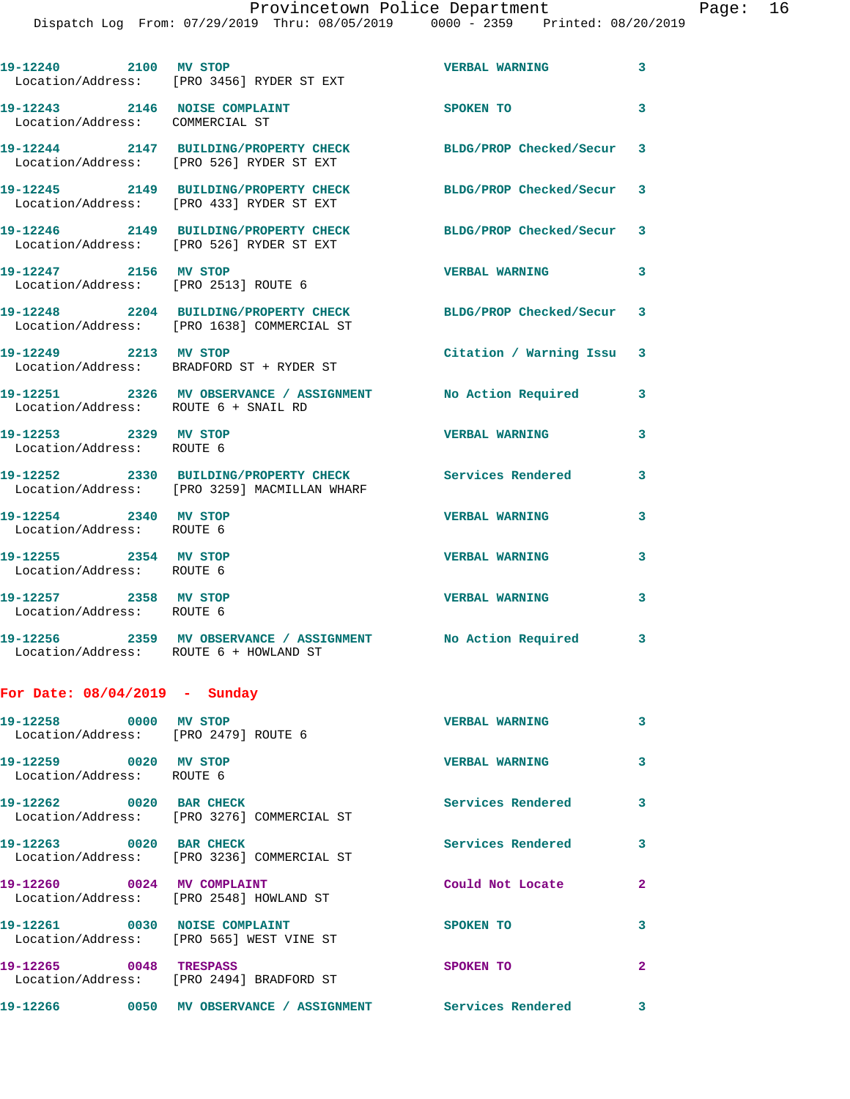|                                                                  | Dispatch Log From: 07/29/2019 Thru: 08/05/2019 0000 - 2359 Printed: 08/20/2019                              |                          |   |
|------------------------------------------------------------------|-------------------------------------------------------------------------------------------------------------|--------------------------|---|
| 19-12240 2100 MV STOP                                            | Location/Address: [PRO 3456] RYDER ST EXT                                                                   | <b>VERBAL WARNING</b>    | 3 |
| 19-12243 2146 NOISE COMPLAINT<br>Location/Address: COMMERCIAL ST |                                                                                                             | SPOKEN TO                | 3 |
|                                                                  | 19-12244 2147 BUILDING/PROPERTY CHECK<br>Location/Address: [PRO 526] RYDER ST EXT                           | BLDG/PROP Checked/Secur  | 3 |
|                                                                  | 19-12245 2149 BUILDING/PROPERTY CHECK<br>Location/Address: [PRO 433] RYDER ST EXT                           | BLDG/PROP Checked/Secur  | 3 |
|                                                                  | 19-12246 2149 BUILDING/PROPERTY CHECK<br>Location/Address: [PRO 526] RYDER ST EXT                           | BLDG/PROP Checked/Secur  | 3 |
| 19-12247 2156 MV STOP<br>Location/Address: [PRO 2513] ROUTE 6    |                                                                                                             | <b>VERBAL WARNING</b>    | 3 |
|                                                                  | 19-12248 2204 BUILDING/PROPERTY CHECK BLDG/PROP Checked/Secur<br>Location/Address: [PRO 1638] COMMERCIAL ST |                          | 3 |
| 19-12249 2213 MV STOP                                            | Location/Address: BRADFORD ST + RYDER ST                                                                    | Citation / Warning Issu  | 3 |
| Location/Address: ROUTE 6 + SNAIL RD                             | 19-12251 2326 MV OBSERVANCE / ASSIGNMENT                                                                    | No Action Required       | 3 |
| 19-12253 2329 MV STOP<br>Location/Address: ROUTE 6               |                                                                                                             | <b>VERBAL WARNING</b>    | 3 |
|                                                                  | 19-12252 2330 BUILDING/PROPERTY CHECK<br>Location/Address: [PRO 3259] MACMILLAN WHARF                       | Services Rendered        | 3 |
| 19-12254 2340 MV STOP<br>Location/Address: ROUTE 6               |                                                                                                             | <b>VERBAL WARNING</b>    | 3 |
| 19-12255 2354 MV STOP<br>Location/Address: ROUTE 6               |                                                                                                             | <b>VERBAL WARNING</b>    | 3 |
| 19-12257 2358 MV STOP<br>Location/Address: ROUTE 6               |                                                                                                             | <b>VERBAL WARNING</b>    | 3 |
| Location/Address: ROUTE 6 + HOWLAND ST                           |                                                                                                             |                          |   |
| For Date: $08/04/2019$ - Sunday                                  |                                                                                                             |                          |   |
| 19-12258 0000 MV STOP<br>Location/Address: [PRO 2479] ROUTE 6    |                                                                                                             | <b>VERBAL WARNING</b>    | 3 |
| 19-12259 0020 MV STOP<br>Location/Address: ROUTE 6               |                                                                                                             | <b>VERBAL WARNING</b>    | 3 |
| 19-12262 0020 BAR CHECK                                          | Location/Address: [PRO 3276] COMMERCIAL ST                                                                  | Services Rendered        | 3 |
| 19-12263 0020 BAR CHECK                                          | Location/Address: [PRO 3236] COMMERCIAL ST                                                                  | <b>Services Rendered</b> | 3 |
| 19-12260 0024 MV COMPLAINT                                       | Location/Address: [PRO 2548] HOWLAND ST                                                                     | Could Not Locate         | 2 |
|                                                                  | 19-12261 0030 NOISE COMPLAINT<br>Location/Address: [PRO 565] WEST VINE ST                                   | <b>SPOKEN TO</b>         | 3 |
| 19-12265 0048 TRESPASS                                           | Location/Address: [PRO 2494] BRADFORD ST                                                                    | <b>SPOKEN TO</b>         | 2 |
|                                                                  | 19-12266  0050 MV OBSERVANCE / ASSIGNMENT Services Rendered                                                 |                          | 3 |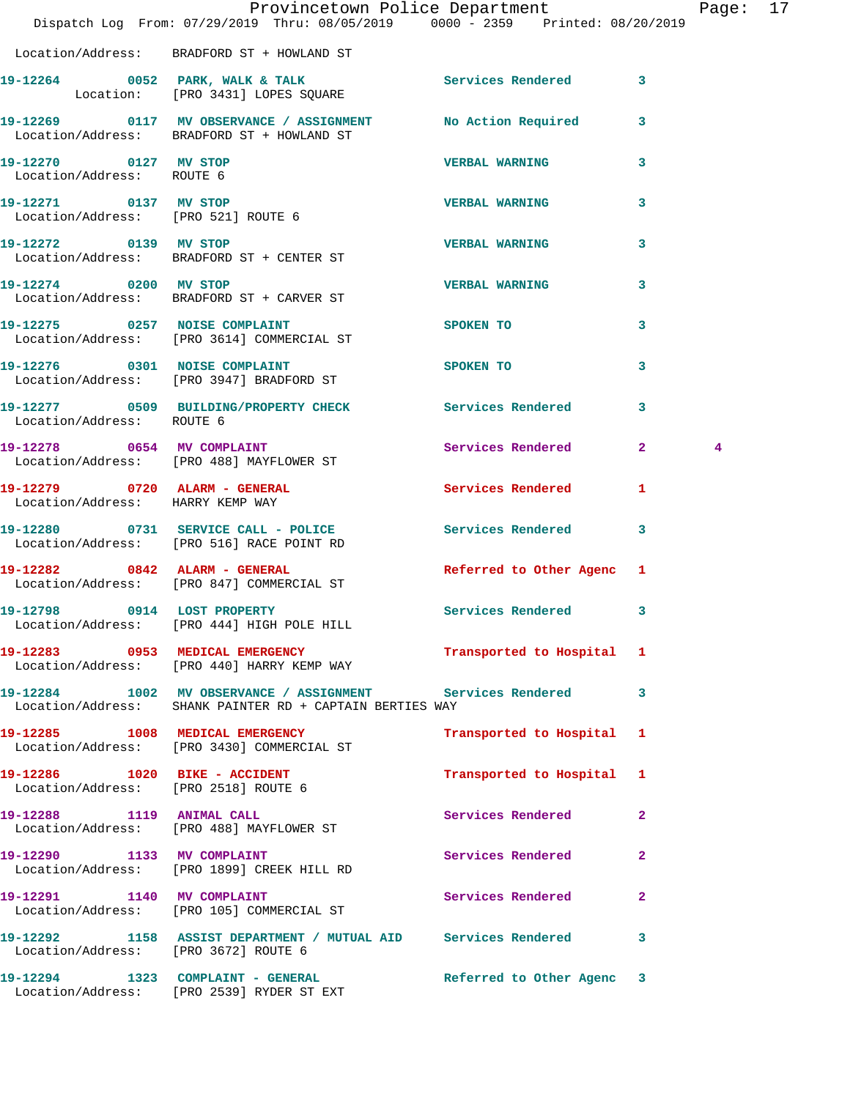|                                                    | Provincetown Police Department<br>Dispatch Log From: 07/29/2019 Thru: 08/05/2019 0000 - 2359 Printed: 08/20/2019 |                           |              | Page: 17 |  |
|----------------------------------------------------|------------------------------------------------------------------------------------------------------------------|---------------------------|--------------|----------|--|
|                                                    | Location/Address: BRADFORD ST + HOWLAND ST                                                                       |                           |              |          |  |
|                                                    | 19-12264 0052 PARK, WALK & TALK Services Rendered 3<br>Location: [PRO 3431] LOPES SQUARE                         |                           |              |          |  |
|                                                    | 19-12269 0117 MV OBSERVANCE / ASSIGNMENT No Action Required 3<br>Location/Address: BRADFORD ST + HOWLAND ST      |                           |              |          |  |
| 19-12270 0127 MV STOP<br>Location/Address: ROUTE 6 |                                                                                                                  | VERBAL WARNING 3          |              |          |  |
|                                                    | 19-12271 0137 MV STOP<br>Location/Address: [PRO 521] ROUTE 6                                                     | <b>VERBAL WARNING</b>     | 3            |          |  |
| 19-12272 0139 MV STOP                              | Location/Address: BRADFORD ST + CENTER ST                                                                        | <b>VERBAL WARNING</b>     | 3            |          |  |
|                                                    | 19-12274 0200 MV STOP<br>Location/Address: BRADFORD ST + CARVER ST                                               | <b>VERBAL WARNING</b>     | 3            |          |  |
|                                                    | 19-12275 0257 NOISE COMPLAINT<br>Location/Address: [PRO 3614] COMMERCIAL ST                                      | SPOKEN TO                 | 3            |          |  |
|                                                    | 19-12276 0301 NOISE COMPLAINT<br>Location/Address: [PRO 3947] BRADFORD ST                                        | SPOKEN TO                 | 3            |          |  |
| Location/Address: ROUTE 6                          | 19-12277 0509 BUILDING/PROPERTY CHECK Services Rendered 3                                                        |                           |              |          |  |
|                                                    | 19-12278 0654 MV COMPLAINT<br>Location/Address: [PRO 488] MAYFLOWER ST                                           | Services Rendered 2       |              | 4        |  |
| Location/Address: HARRY KEMP WAY                   | 19-12279 0720 ALARM - GENERAL Services Rendered                                                                  |                           | 1            |          |  |
|                                                    | 19-12280 0731 SERVICE CALL - POLICE Services Rendered 3<br>Location/Address: [PRO 516] RACE POINT RD             |                           |              |          |  |
|                                                    | 19-12282 0842 ALARM - GENERAL<br>Location/Address: [PRO 847] COMMERCIAL ST                                       | Referred to Other Agenc 1 |              |          |  |
| 19-12798 0914 LOST PROPERTY                        | Location/Address: [PRO 444] HIGH POLE HILL                                                                       | Services Rendered 3       |              |          |  |
|                                                    | 19-12283 0953 MEDICAL EMERGENCY<br>Location/Address: [PRO 440] HARRY KEMP WAY                                    | Transported to Hospital 1 |              |          |  |
|                                                    | 19-12284 1002 MV OBSERVANCE / ASSIGNMENT<br>Location/Address: SHANK PAINTER RD + CAPTAIN BERTIES WAY             | Services Rendered         | 3            |          |  |
|                                                    | 19-12285 1008 MEDICAL EMERGENCY<br>Location/Address: [PRO 3430] COMMERCIAL ST                                    | Transported to Hospital 1 |              |          |  |
| 19-12286 1020 BIKE - ACCIDENT                      | Location/Address: [PRO 2518] ROUTE 6                                                                             | Transported to Hospital 1 |              |          |  |
|                                                    | 19-12288 1119 ANIMAL CALL<br>Location/Address: [PRO 488] MAYFLOWER ST                                            | Services Rendered         | $\mathbf{2}$ |          |  |
|                                                    | 19-12290 1133 MV COMPLAINT<br>Location/Address: [PRO 1899] CREEK HILL RD                                         | Services Rendered         | $\mathbf{2}$ |          |  |
|                                                    | 19-12291 1140 MV COMPLAINT<br>Location/Address: [PRO 105] COMMERCIAL ST                                          | Services Rendered         | $\mathbf{2}$ |          |  |
| Location/Address: [PRO 3672] ROUTE 6               | 19-12292 1158 ASSIST DEPARTMENT / MUTUAL AID Services Rendered 3                                                 |                           |              |          |  |
|                                                    | 19-12294 1323 COMPLAINT - GENERAL<br>Location/Address: [PRO 2539] RYDER ST EXT                                   | Referred to Other Agenc 3 |              |          |  |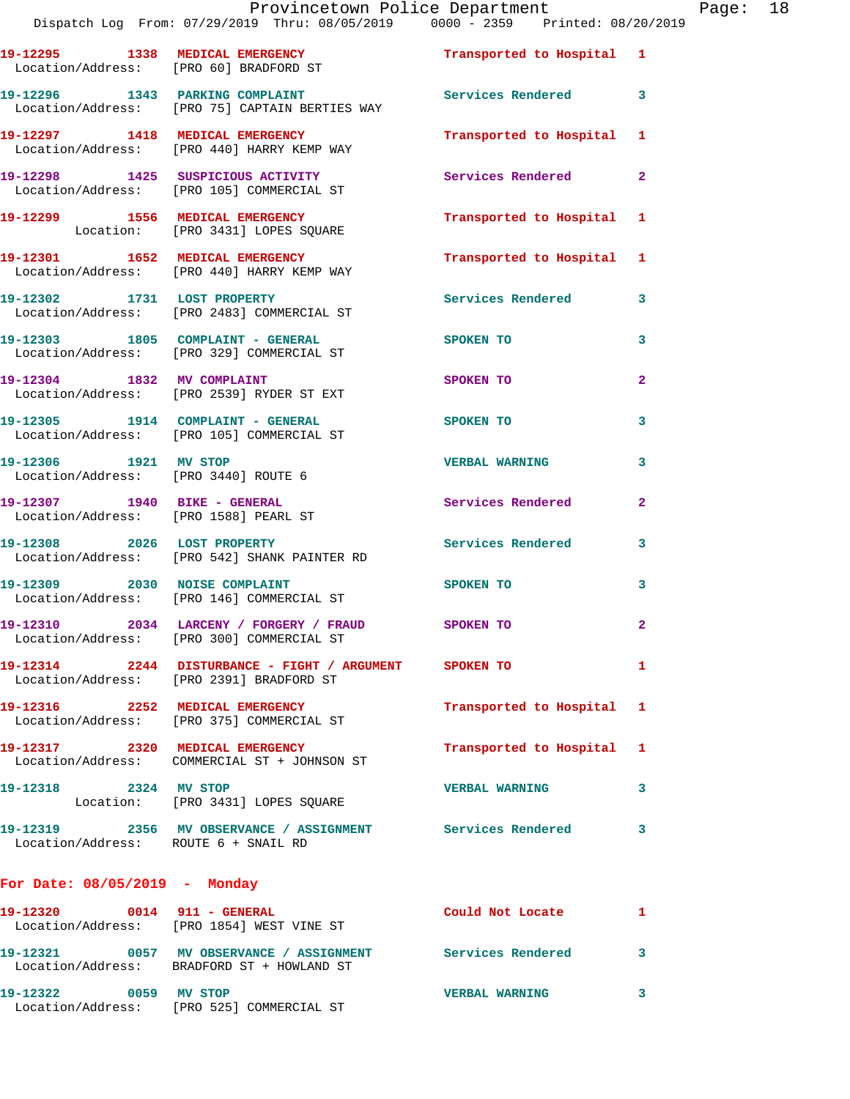|                                       | Dispatch Log From: 07/29/2019 Thru: 08/05/2019 0000 - 2359 Printed: 08/20/2019                             | Provincetown Police Department Page: 18 |                |  |
|---------------------------------------|------------------------------------------------------------------------------------------------------------|-----------------------------------------|----------------|--|
|                                       | 19-12295 1338 MEDICAL EMERGENCY Transported to Hospital 1<br>Location/Address: [PRO 60] BRADFORD ST        |                                         |                |  |
|                                       | 19-12296 1343 PARKING COMPLAINT Services Rendered 3<br>Location/Address: [PRO 75] CAPTAIN BERTIES WAY      |                                         |                |  |
|                                       | 19-12297 1418 MEDICAL EMERGENCY<br>Location/Address: [PRO 440] HARRY KEMP WAY                              | Transported to Hospital 1               |                |  |
|                                       | 19-12298 1425 SUSPICIOUS ACTIVITY Services Rendered 2<br>Location/Address: [PRO 105] COMMERCIAL ST         |                                         |                |  |
|                                       | 19-12299 1556 MEDICAL EMERGENCY<br>Location: [PRO 3431] LOPES SQUARE                                       | Transported to Hospital 1               |                |  |
|                                       | 19-12301 1652 MEDICAL EMERGENCY<br>Location/Address: [PRO 440] HARRY KEMP WAY                              | Transported to Hospital 1               |                |  |
|                                       | 19-12302 1731 LOST PROPERTY<br>Location/Address: [PRO 2483] COMMERCIAL ST                                  | Services Rendered 3                     |                |  |
|                                       | 19-12303 1805 COMPLAINT - GENERAL SPOKEN TO<br>Location/Address: [PRO 329] COMMERCIAL ST                   |                                         | 3              |  |
|                                       | 19-12304 1832 MV COMPLAINT<br>Location/Address: [PRO 2539] RYDER ST EXT                                    | SPOKEN TO                               | $\mathbf{2}$   |  |
|                                       | 19-12305 1914 COMPLAINT - GENERAL SPOKEN TO<br>Location/Address: [PRO 105] COMMERCIAL ST                   |                                         | 3              |  |
| 19-12306 1921 MV STOP                 | Location/Address: [PRO 3440] ROUTE 6                                                                       | <b>VERBAL WARNING</b>                   | 3              |  |
| Location/Address: [PRO 1588] PEARL ST | 19-12307 1940 BIKE - GENERAL                                                                               | Services Rendered                       | $\overline{2}$ |  |
|                                       | 19-12308 2026 LOST PROPERTY<br>Location/Address: [PRO 542] SHANK PAINTER RD                                | Services Rendered 3                     |                |  |
|                                       | 19-12309 2030 NOISE COMPLAINT<br>Location/Address: [PRO 146] COMMERCIAL ST                                 | SPOKEN TO THE SPOKEN OF THE SPOKEN TO   | 3              |  |
|                                       | 19-12310 2034 LARCENY / FORGERY / FRAUD<br>Location/Address: [PRO 300] COMMERCIAL ST                       | SPOKEN TO                               |                |  |
|                                       | 19-12314 2244 DISTURBANCE - FIGHT / ARGUMENT SPOKEN TO<br>Location/Address: [PRO 2391] BRADFORD ST         |                                         | $\mathbf{1}$   |  |
|                                       | 19-12316 2252 MEDICAL EMERGENCY<br>Location/Address: [PRO 375] COMMERCIAL ST                               | Transported to Hospital 1               |                |  |
|                                       | 19-12317 2320 MEDICAL EMERGENCY<br>Location/Address: COMMERCIAL ST + JOHNSON ST                            | Transported to Hospital 1               |                |  |
| 19-12318 2324 MV STOP                 | Location: [PRO 3431] LOPES SQUARE                                                                          | <b>VERBAL WARNING</b>                   | 3              |  |
| Location/Address: ROUTE 6 + SNAIL RD  | 19-12319 2356 MV OBSERVANCE / ASSIGNMENT Services Rendered                                                 |                                         | 3              |  |
| For Date: 08/05/2019 - Monday         |                                                                                                            |                                         |                |  |
|                                       | 19-12320 0014 911 - GENERAL<br>Location/Address: [PRO 1854] WEST VINE ST                                   | Could Not Locate 1                      |                |  |
|                                       | 19-12321 0057 MV OBSERVANCE / ASSIGNMENT Services Rendered 3<br>Location/Address: BRADFORD ST + HOWLAND ST |                                         |                |  |
|                                       |                                                                                                            |                                         |                |  |

**19-12322 0059 MV STOP VERBAL WARNING 3** 

Location/Address: [PRO 525] COMMERCIAL ST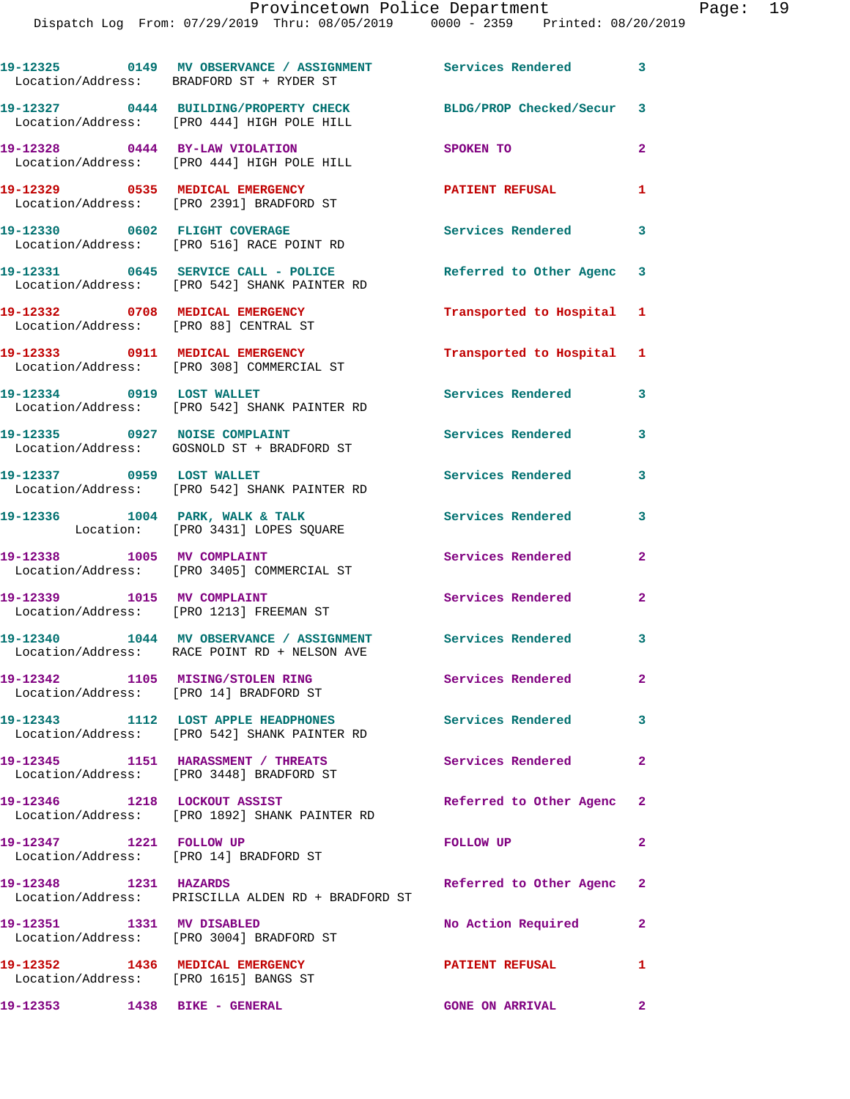**19-12325 0149 MV OBSERVANCE / ASSIGNMENT Services Rendered 3** 

|                                                                            | Location/Address: BRADFORD ST + RYDER ST                                                                     |                           |                |
|----------------------------------------------------------------------------|--------------------------------------------------------------------------------------------------------------|---------------------------|----------------|
|                                                                            | 19-12327 0444 BUILDING/PROPERTY CHECK<br>Location/Address: [PRO 444] HIGH POLE HILL                          | BLDG/PROP Checked/Secur 3 |                |
|                                                                            | 19-12328 0444 BY-LAW VIOLATION<br>Location/Address: [PRO 444] HIGH POLE HILL                                 | SPOKEN TO                 | $\overline{2}$ |
|                                                                            | 19-12329 0535 MEDICAL EMERGENCY<br>Location/Address: [PRO 2391] BRADFORD ST                                  | <b>PATIENT REFUSAL</b>    | 1              |
|                                                                            | 19-12330 0602 FLIGHT COVERAGE<br>Location/Address: [PRO 516] RACE POINT RD                                   | <b>Services Rendered</b>  | 3              |
|                                                                            | 19-12331 0645 SERVICE CALL - POLICE<br>Location/Address: [PRO 542] SHANK PAINTER RD                          | Referred to Other Agenc 3 |                |
| Location/Address: [PRO 88] CENTRAL ST                                      | 19-12332 0708 MEDICAL EMERGENCY                                                                              | Transported to Hospital 1 |                |
|                                                                            | 19-12333 0911 MEDICAL EMERGENCY<br>Location/Address: [PRO 308] COMMERCIAL ST                                 | Transported to Hospital 1 |                |
|                                                                            | 19-12334 0919 LOST WALLET<br>Location/Address: [PRO 542] SHANK PAINTER RD                                    | Services Rendered         | 3              |
| 19-12335 0927 NOISE COMPLAINT                                              | Location/Address: GOSNOLD ST + BRADFORD ST                                                                   | <b>Services Rendered</b>  | 3              |
|                                                                            | 19-12337 0959 LOST WALLET<br>Location/Address: [PRO 542] SHANK PAINTER RD                                    | <b>Services Rendered</b>  | 3              |
|                                                                            | $19-12336$ $1004$ PARK, WALK & TALK<br>Location: [PRO 3431] LOPES SQUARE                                     | Services Rendered         | 3              |
|                                                                            | 19-12338 1005 MV COMPLAINT<br>Location/Address: [PRO 3405] COMMERCIAL ST                                     | Services Rendered         | $\overline{2}$ |
| 19-12339 1015 MV COMPLAINT                                                 | Location/Address: [PRO 1213] FREEMAN ST                                                                      | Services Rendered         | $\mathbf{2}$   |
|                                                                            | 19-12340 1044 MV OBSERVANCE / ASSIGNMENT Services Rendered 3<br>Location/Address: RACE POINT RD + NELSON AVE |                           |                |
| 19-12342 1105 MISING/STOLEN RING<br>Location/Address: [PRO 14] BRADFORD ST |                                                                                                              | Services Rendered         | $\mathbf{2}$   |
|                                                                            | 19-12343 1112 LOST APPLE HEADPHONES<br>Location/Address: [PRO 542] SHANK PAINTER RD                          | <b>Services Rendered</b>  | 3              |
|                                                                            | 19-12345 1151 HARASSMENT / THREATS<br>Location/Address: [PRO 3448] BRADFORD ST                               | Services Rendered 2       |                |
|                                                                            | 19-12346 1218 LOCKOUT ASSIST<br>Location/Address: [PRO 1892] SHANK PAINTER RD                                | Referred to Other Agenc 2 |                |
| 19-12347 1221 FOLLOW UP                                                    | Location/Address: [PRO 14] BRADFORD ST                                                                       | <b>FOLLOW UP</b>          | 2              |
| 19-12348 1231 HAZARDS                                                      | Location/Address: PRISCILLA ALDEN RD + BRADFORD ST                                                           | Referred to Other Agenc   | $\mathbf{2}$   |
| 19-12351 1331 MV DISABLED                                                  | Location/Address: [PRO 3004] BRADFORD ST                                                                     | No Action Required        | $\mathbf{2}$   |
| 19-12352 1436 MEDICAL EMERGENCY<br>Location/Address: [PRO 1615] BANGS ST   |                                                                                                              | <b>PATIENT REFUSAL</b>    | 1              |
| 19-12353 1438 BIKE - GENERAL                                               |                                                                                                              | <b>GONE ON ARRIVAL</b>    | $\mathbf{2}$   |